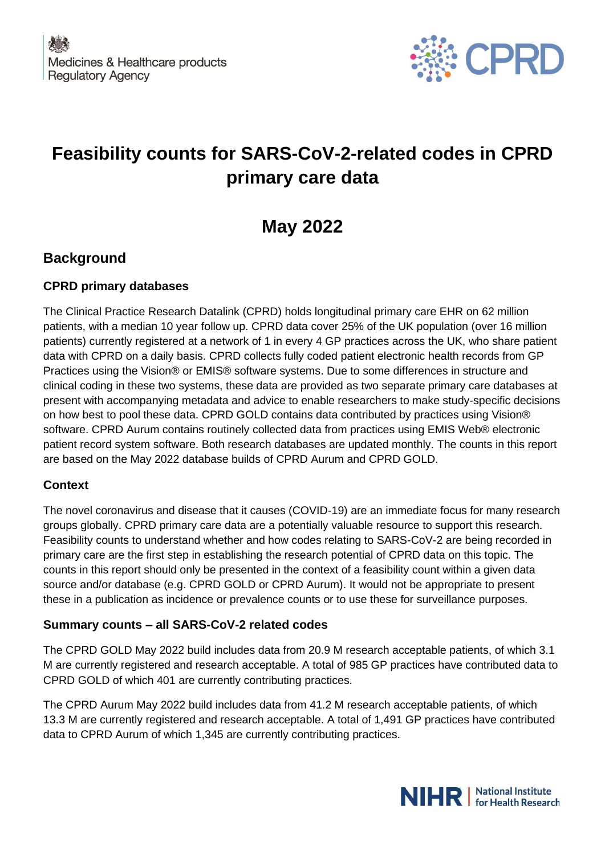

# **Feasibility counts for SARS-CoV-2-related codes in CPRD primary care data**

# **May 2022**

## **Background**

### **CPRD primary databases**

The Clinical Practice Research Datalink (CPRD) holds longitudinal primary care EHR on 62 million patients, with a median 10 year follow up. CPRD data cover 25% of the UK population (over 16 million patients) currently registered at a network of 1 in every 4 GP practices across the UK, who share patient data with CPRD on a daily basis. CPRD collects fully coded patient electronic health records from GP Practices using the Vision® or EMIS® software systems. Due to some differences in structure and clinical coding in these two systems, these data are provided as two separate primary care databases at present with accompanying metadata and advice to enable researchers to make study-specific decisions on how best to pool these data. CPRD GOLD contains data contributed by practices using Vision® software. CPRD Aurum contains routinely collected data from practices using EMIS Web® electronic patient record system software. Both research databases are updated monthly. The counts in this report are based on the May 2022 database builds of CPRD Aurum and CPRD GOLD.

#### **Context**

The novel coronavirus and disease that it causes (COVID-19) are an immediate focus for many research groups globally. CPRD primary care data are a potentially valuable resource to support this research. Feasibility counts to understand whether and how codes relating to SARS-CoV-2 are being recorded in primary care are the first step in establishing the research potential of CPRD data on this topic. The counts in this report should only be presented in the context of a feasibility count within a given data source and/or database (e.g. CPRD GOLD or CPRD Aurum). It would not be appropriate to present these in a publication as incidence or prevalence counts or to use these for surveillance purposes.

### **Summary counts – all SARS-CoV-2 related codes**

The CPRD GOLD May 2022 build includes data from 20.9 M research acceptable patients, of which 3.1 M are currently registered and research acceptable. A total of 985 GP practices have contributed data to CPRD GOLD of which 401 are currently contributing practices.

The CPRD Aurum May 2022 build includes data from 41.2 M research acceptable patients, of which 13.3 M are currently registered and research acceptable. A total of 1,491 GP practices have contributed data to CPRD Aurum of which 1,345 are currently contributing practices.

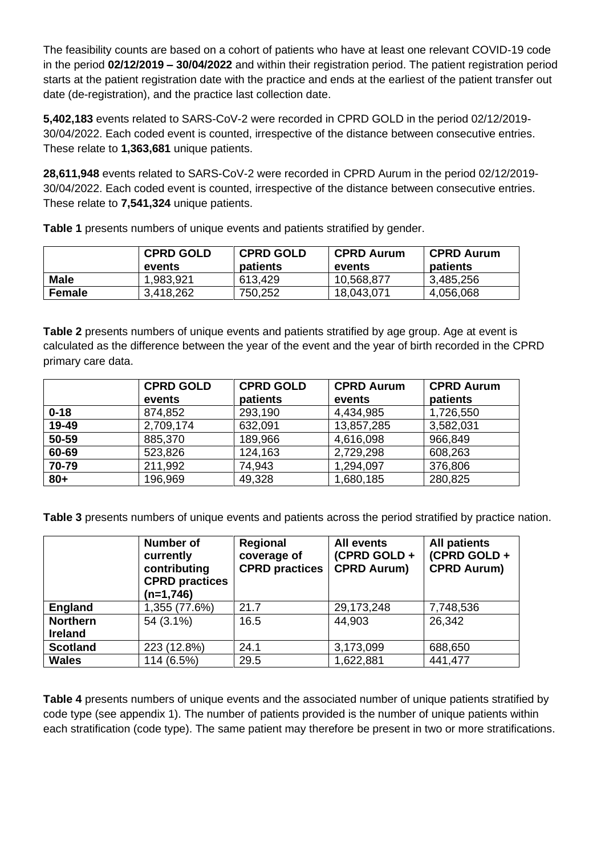The feasibility counts are based on a cohort of patients who have at least one relevant COVID-19 code in the period **02/12/2019 – 30/04/2022** and within their registration period. The patient registration period starts at the patient registration date with the practice and ends at the earliest of the patient transfer out date (de-registration), and the practice last collection date.

**5,402,183** events related to SARS-CoV-2 were recorded in CPRD GOLD in the period 02/12/2019- 30/04/2022. Each coded event is counted, irrespective of the distance between consecutive entries. These relate to **1,363,681** unique patients.

**28,611,948** events related to SARS-CoV-2 were recorded in CPRD Aurum in the period 02/12/2019- 30/04/2022. Each coded event is counted, irrespective of the distance between consecutive entries. These relate to **7,541,324** unique patients.

|             | <b>CPRD GOLD</b><br>events | <b>CPRD GOLD</b><br>patients | <b>CPRD Aurum</b><br>events | <b>CPRD Aurum</b><br>patients |
|-------------|----------------------------|------------------------------|-----------------------------|-------------------------------|
| <b>Male</b> | 1,983,921                  | 613,429                      | 10,568,877                  | 3,485,256                     |
| Female      | 3,418,262                  | 750,252                      | 18,043,071                  | 4,056,068                     |

**Table 1** presents numbers of unique events and patients stratified by gender.

**Table 2** presents numbers of unique events and patients stratified by age group. Age at event is calculated as the difference between the year of the event and the year of birth recorded in the CPRD primary care data.

|          | <b>CPRD GOLD</b> | <b>CPRD GOLD</b> | <b>CPRD Aurum</b> | <b>CPRD Aurum</b> |
|----------|------------------|------------------|-------------------|-------------------|
|          | events           | patients         | events            | patients          |
| $0 - 18$ | 874,852          | 293,190          | 4,434,985         | 1,726,550         |
| 19-49    | 2,709,174        | 632,091          | 13,857,285        | 3,582,031         |
| 50-59    | 885,370          | 189,966          | 4,616,098         | 966,849           |
| 60-69    | 523,826          | 124,163          | 2,729,298         | 608,263           |
| 70-79    | 211,992          | 74,943           | 1,294,097         | 376,806           |
| $80 +$   | 196,969          | 49,328           | 1,680,185         | 280,825           |

**Table 3** presents numbers of unique events and patients across the period stratified by practice nation.

|                                   | Number of<br>currently<br>contributing<br><b>CPRD</b> practices<br>$(n=1,746)$ | Regional<br>coverage of<br><b>CPRD</b> practices | <b>All events</b><br>(CPRD GOLD+<br><b>CPRD Aurum)</b> | <b>All patients</b><br>(CPRD GOLD+<br><b>CPRD Aurum)</b> |
|-----------------------------------|--------------------------------------------------------------------------------|--------------------------------------------------|--------------------------------------------------------|----------------------------------------------------------|
| <b>England</b>                    | 1,355 (77.6%)                                                                  | 21.7                                             | 29,173,248                                             | 7,748,536                                                |
| <b>Northern</b><br><b>Ireland</b> | 54 (3.1%)                                                                      | 16.5                                             | 44,903                                                 | 26,342                                                   |
| <b>Scotland</b>                   | 223 (12.8%)                                                                    | 24.1                                             | 3,173,099                                              | 688,650                                                  |
| <b>Wales</b>                      | 114 (6.5%)                                                                     | 29.5                                             | 1,622,881                                              | 441,477                                                  |

**Table 4** presents numbers of unique events and the associated number of unique patients stratified by code type (see appendix 1). The number of patients provided is the number of unique patients within each stratification (code type). The same patient may therefore be present in two or more stratifications.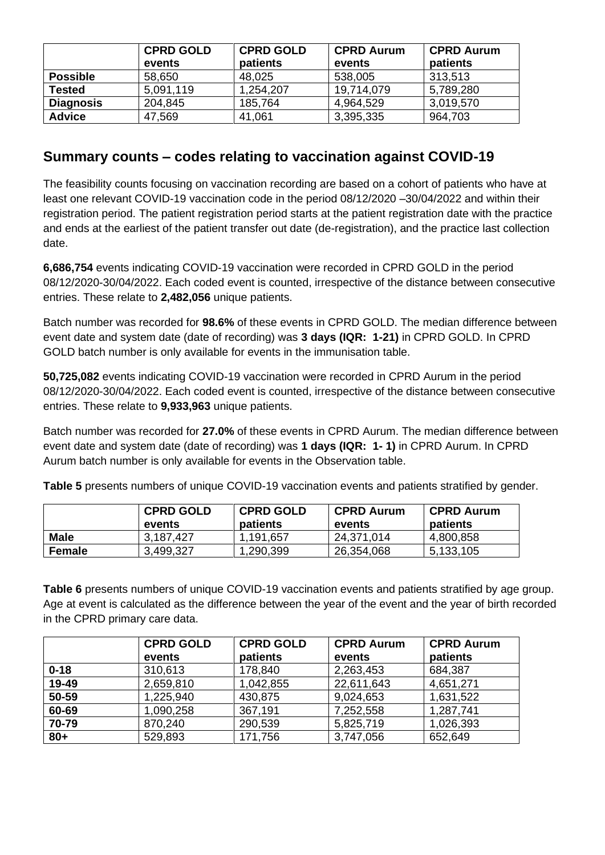|                  | <b>CPRD GOLD</b><br>events | <b>CPRD GOLD</b><br>patients | <b>CPRD Aurum</b><br>events | <b>CPRD Aurum</b><br>patients |
|------------------|----------------------------|------------------------------|-----------------------------|-------------------------------|
| <b>Possible</b>  | 58,650                     | 48,025                       | 538,005                     | 313,513                       |
| <b>Tested</b>    | 5,091,119                  | 1,254,207                    | 19.714.079                  | 5,789,280                     |
| <b>Diagnosis</b> | 204,845                    | 185,764                      | 4,964,529                   | 3,019,570                     |
| <b>Advice</b>    | 47,569                     | 41,061                       | 3,395,335                   | 964,703                       |

## **Summary counts – codes relating to vaccination against COVID-19**

The feasibility counts focusing on vaccination recording are based on a cohort of patients who have at least one relevant COVID-19 vaccination code in the period 08/12/2020 –30/04/2022 and within their registration period. The patient registration period starts at the patient registration date with the practice and ends at the earliest of the patient transfer out date (de-registration), and the practice last collection date.

**6,686,754** events indicating COVID-19 vaccination were recorded in CPRD GOLD in the period 08/12/2020-30/04/2022. Each coded event is counted, irrespective of the distance between consecutive entries. These relate to **2,482,056** unique patients.

Batch number was recorded for **98.6%** of these events in CPRD GOLD. The median difference between event date and system date (date of recording) was **3 days (IQR: 1-21)** in CPRD GOLD. In CPRD GOLD batch number is only available for events in the immunisation table.

**50,725,082** events indicating COVID-19 vaccination were recorded in CPRD Aurum in the period 08/12/2020-30/04/2022. Each coded event is counted, irrespective of the distance between consecutive entries. These relate to **9,933,963** unique patients.

Batch number was recorded for **27.0%** of these events in CPRD Aurum. The median difference between event date and system date (date of recording) was **1 days (IQR: 1- 1)** in CPRD Aurum. In CPRD Aurum batch number is only available for events in the Observation table.

**Table 5** presents numbers of unique COVID-19 vaccination events and patients stratified by gender.

|               | <b>CPRD GOLD</b><br>events | <b>CPRD GOLD</b><br>patients | <b>CPRD Aurum</b><br>events | ∣ CPRD Aurum<br>patients |
|---------------|----------------------------|------------------------------|-----------------------------|--------------------------|
| <b>Male</b>   | 3,187,427                  | 1,191,657                    | 24,371,014                  | 4,800,858                |
| <b>Female</b> | 3,499,327                  | 1,290,399                    | 26,354,068                  | 5,133,105                |

**Table 6** presents numbers of unique COVID-19 vaccination events and patients stratified by age group. Age at event is calculated as the difference between the year of the event and the year of birth recorded in the CPRD primary care data.

|          | <b>CPRD GOLD</b> | <b>CPRD GOLD</b> | <b>CPRD Aurum</b> | <b>CPRD Aurum</b> |
|----------|------------------|------------------|-------------------|-------------------|
|          | events           | patients         | events            | patients          |
| $0 - 18$ | 310,613          | 178,840          | 2,263,453         | 684,387           |
| 19-49    | 2,659,810        | 1,042,855        | 22,611,643        | 4,651,271         |
| 50-59    | 1,225,940        | 430,875          | 9,024,653         | 1,631,522         |
| 60-69    | 1,090,258        | 367,191          | 7,252,558         | 1,287,741         |
| 70-79    | 870,240          | 290,539          | 5,825,719         | 1,026,393         |
| $80 +$   | 529,893          | 171,756          | 3,747,056         | 652,649           |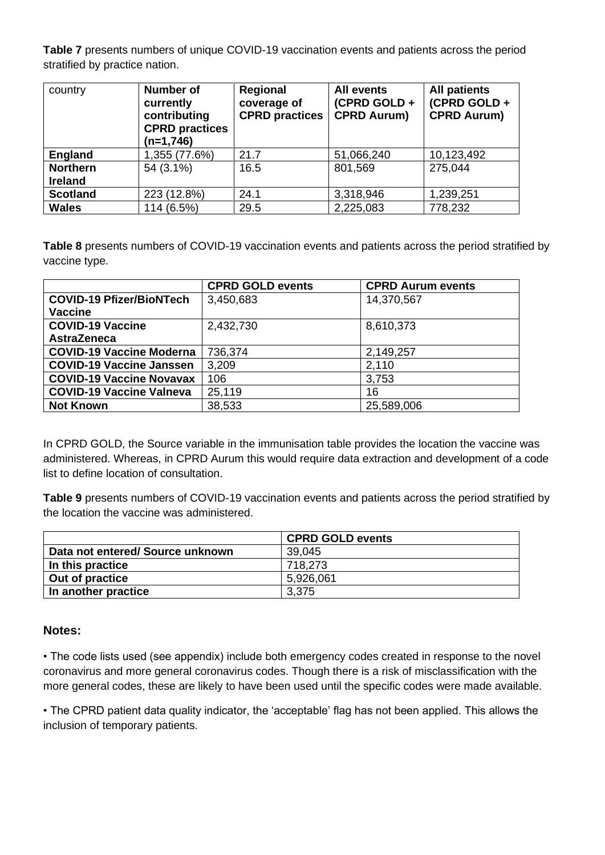**Table 7** presents numbers of unique COVID-19 vaccination events and patients across the period stratified by practice nation.

| country                           | <b>Number of</b><br>currently<br>contributing<br><b>CPRD</b> practices<br>$(n=1,746)$ | <b>Regional</b><br>coverage of<br><b>CPRD</b> practices | <b>All events</b><br>(CPRD GOLD +<br><b>CPRD Aurum)</b> | <b>All patients</b><br>(CPRD GOLD+<br><b>CPRD Aurum)</b> |
|-----------------------------------|---------------------------------------------------------------------------------------|---------------------------------------------------------|---------------------------------------------------------|----------------------------------------------------------|
| <b>England</b>                    | 1,355 (77.6%)                                                                         | 21.7                                                    | 51,066,240                                              | 10,123,492                                               |
| <b>Northern</b><br><b>Ireland</b> | 54 (3.1%)                                                                             | 16.5                                                    | 801,569                                                 | 275,044                                                  |
| <b>Scotland</b>                   | 223 (12.8%)                                                                           | 24.1                                                    | 3,318,946                                               | 1,239,251                                                |
| <b>Wales</b>                      | 114 (6.5%)                                                                            | 29.5                                                    | 2,225,083                                               | 778,232                                                  |

**Table 8** presents numbers of COVID-19 vaccination events and patients across the period stratified by vaccine type.

|                                 | <b>CPRD GOLD events</b> | <b>CPRD Aurum events</b> |
|---------------------------------|-------------------------|--------------------------|
| <b>COVID-19 Pfizer/BioNTech</b> | 3,450,683               | 14,370,567               |
| <b>Vaccine</b>                  |                         |                          |
| <b>COVID-19 Vaccine</b>         | 2,432,730               | 8,610,373                |
| <b>AstraZeneca</b>              |                         |                          |
| <b>COVID-19 Vaccine Moderna</b> | 736,374                 | 2,149,257                |
| <b>COVID-19 Vaccine Janssen</b> | 3,209                   | 2,110                    |
| <b>COVID-19 Vaccine Novavax</b> | 106                     | 3,753                    |
| <b>COVID-19 Vaccine Valneva</b> | 25,119                  | 16                       |
| <b>Not Known</b>                | 38,533                  | 25,589,006               |

In CPRD GOLD, the Source variable in the immunisation table provides the location the vaccine was administered. Whereas, in CPRD Aurum this would require data extraction and development of a code list to define location of consultation.

**Table 9** presents numbers of COVID-19 vaccination events and patients across the period stratified by the location the vaccine was administered.

|                                 | <b>CPRD GOLD events</b> |
|---------------------------------|-------------------------|
| Data not entered/Source unknown | 39,045                  |
| In this practice                | 718.273                 |
| Out of practice                 | 5,926,061               |
| In another practice             | 3,375                   |

#### **Notes:**

• The code lists used (see appendix) include both emergency codes created in response to the novel coronavirus and more general coronavirus codes. Though there is a risk of misclassification with the more general codes, these are likely to have been used until the specific codes were made available.

• The CPRD patient data quality indicator, the 'acceptable' flag has not been applied. This allows the inclusion of temporary patients.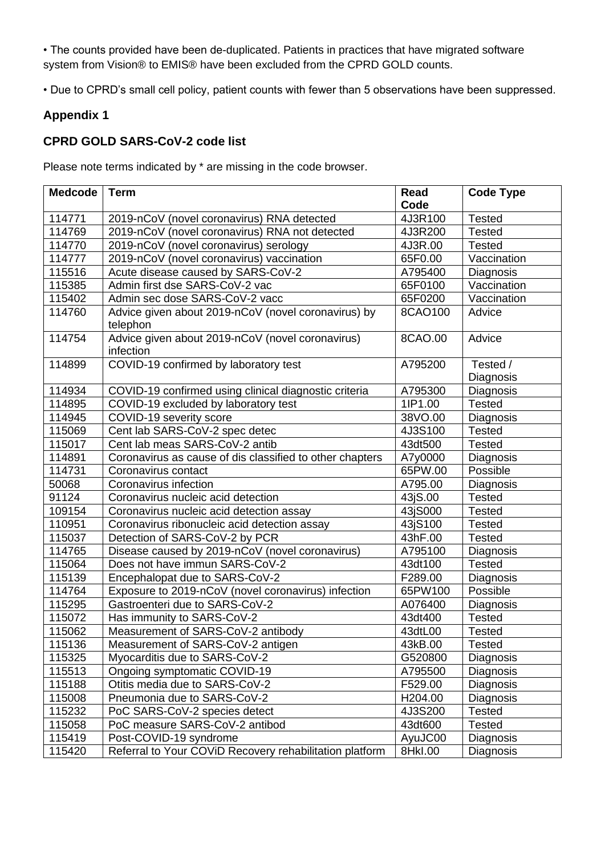• The counts provided have been de-duplicated. Patients in practices that have migrated software system from Vision® to EMIS® have been excluded from the CPRD GOLD counts.

• Due to CPRD's small cell policy, patient counts with fewer than 5 observations have been suppressed.

#### **Appendix 1**

#### **CPRD GOLD SARS-CoV-2 code list**

Please note terms indicated by \* are missing in the code browser.

| <b>Medcode</b> | <b>Term</b>                                                     | Read    | <b>Code Type</b>      |
|----------------|-----------------------------------------------------------------|---------|-----------------------|
|                |                                                                 | Code    |                       |
| 114771         | 2019-nCoV (novel coronavirus) RNA detected                      | 4J3R100 | <b>Tested</b>         |
| 114769         | 2019-nCoV (novel coronavirus) RNA not detected                  | 4J3R200 | <b>Tested</b>         |
| 114770         | 2019-nCoV (novel coronavirus) serology                          | 4J3R.00 | <b>Tested</b>         |
| 114777         | 2019-nCoV (novel coronavirus) vaccination                       | 65F0.00 | Vaccination           |
| 115516         | Acute disease caused by SARS-CoV-2                              | A795400 | Diagnosis             |
| 115385         | Admin first dse SARS-CoV-2 vac                                  | 65F0100 | Vaccination           |
| 115402         | Admin sec dose SARS-CoV-2 vacc                                  | 65F0200 | Vaccination           |
| 114760         | Advice given about 2019-nCoV (novel coronavirus) by<br>telephon | 8CAO100 | Advice                |
| 114754         | Advice given about 2019-nCoV (novel coronavirus)<br>infection   | 8CAO.00 | Advice                |
| 114899         | COVID-19 confirmed by laboratory test                           | A795200 | Tested /<br>Diagnosis |
| 114934         | COVID-19 confirmed using clinical diagnostic criteria           | A795300 | Diagnosis             |
| 114895         | COVID-19 excluded by laboratory test                            | 1IP1.00 | <b>Tested</b>         |
| 114945         | COVID-19 severity score                                         | 38VO.00 | Diagnosis             |
| 115069         | Cent lab SARS-CoV-2 spec detec                                  | 4J3S100 | <b>Tested</b>         |
| 115017         | Cent lab meas SARS-CoV-2 antib                                  | 43dt500 | <b>Tested</b>         |
| 114891         | Coronavirus as cause of dis classified to other chapters        | A7y0000 | Diagnosis             |
| 114731         | Coronavirus contact                                             | 65PW.00 | Possible              |
| 50068          | Coronavirus infection                                           | A795.00 | Diagnosis             |
| 91124          | Coronavirus nucleic acid detection                              | 43jS.00 | <b>Tested</b>         |
| 109154         | Coronavirus nucleic acid detection assay                        | 43jS000 | <b>Tested</b>         |
| 110951         | Coronavirus ribonucleic acid detection assay                    | 43jS100 | <b>Tested</b>         |
| 115037         | Detection of SARS-CoV-2 by PCR                                  | 43hF.00 | <b>Tested</b>         |
| 114765         | Disease caused by 2019-nCoV (novel coronavirus)                 | A795100 | Diagnosis             |
| 115064         | Does not have immun SARS-CoV-2                                  | 43dt100 | <b>Tested</b>         |
| 115139         | Encephalopat due to SARS-CoV-2                                  | F289.00 | <b>Diagnosis</b>      |
| 114764         | Exposure to 2019-nCoV (novel coronavirus) infection             | 65PW100 | Possible              |
| 115295         | Gastroenteri due to SARS-CoV-2                                  | A076400 | Diagnosis             |
| 115072         | Has immunity to SARS-CoV-2                                      | 43dt400 | <b>Tested</b>         |
| 115062         | Measurement of SARS-CoV-2 antibody                              | 43dtL00 | <b>Tested</b>         |
| 115136         | Measurement of SARS-CoV-2 antigen                               | 43kB.00 | Tested                |
| 115325         | Myocarditis due to SARS-CoV-2                                   | G520800 | Diagnosis             |
| 115513         | Ongoing symptomatic COVID-19                                    | A795500 | Diagnosis             |
| 115188         | Otitis media due to SARS-CoV-2                                  | F529.00 | Diagnosis             |
| 115008         | Pneumonia due to SARS-CoV-2                                     | H204.00 | Diagnosis             |
| 115232         | PoC SARS-CoV-2 species detect                                   | 4J3S200 | <b>Tested</b>         |
| 115058         | PoC measure SARS-CoV-2 antibod                                  | 43dt600 | <b>Tested</b>         |
| 115419         | Post-COVID-19 syndrome                                          | AyuJC00 | Diagnosis             |
| 115420         | Referral to Your COViD Recovery rehabilitation platform         | 8Hkl.00 | Diagnosis             |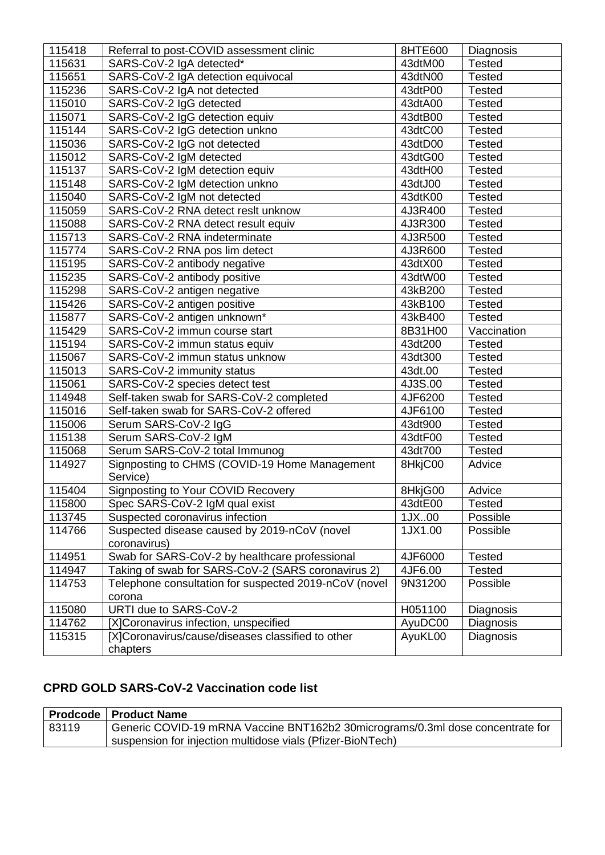| 115418 | Referral to post-COVID assessment clinic                  | 8HTE600 | Diagnosis     |
|--------|-----------------------------------------------------------|---------|---------------|
| 115631 | SARS-CoV-2 IgA detected*                                  | 43dtM00 | <b>Tested</b> |
| 115651 | SARS-CoV-2 IgA detection equivocal                        | 43dtN00 | <b>Tested</b> |
| 115236 | SARS-CoV-2 IgA not detected                               | 43dtP00 | <b>Tested</b> |
| 115010 | SARS-CoV-2 IgG detected                                   | 43dtA00 | <b>Tested</b> |
| 115071 | SARS-CoV-2 IgG detection equiv                            | 43dtB00 | <b>Tested</b> |
| 115144 | SARS-CoV-2 IgG detection unkno                            | 43dtC00 | <b>Tested</b> |
| 115036 | SARS-CoV-2 IgG not detected                               | 43dtD00 | <b>Tested</b> |
| 115012 | SARS-CoV-2 IgM detected                                   | 43dtG00 | <b>Tested</b> |
| 115137 | SARS-CoV-2 IgM detection equiv                            | 43dtH00 | <b>Tested</b> |
| 115148 | SARS-CoV-2 IgM detection unkno                            | 43dtJ00 | <b>Tested</b> |
| 115040 | SARS-CoV-2 IgM not detected                               | 43dtK00 | <b>Tested</b> |
| 115059 | SARS-CoV-2 RNA detect reslt unknow                        | 4J3R400 | <b>Tested</b> |
| 115088 | SARS-CoV-2 RNA detect result equiv                        | 4J3R300 | <b>Tested</b> |
| 115713 | SARS-CoV-2 RNA indeterminate                              | 4J3R500 | <b>Tested</b> |
| 115774 | SARS-CoV-2 RNA pos lim detect                             | 4J3R600 | <b>Tested</b> |
| 115195 | SARS-CoV-2 antibody negative                              | 43dtX00 | <b>Tested</b> |
| 115235 | SARS-CoV-2 antibody positive                              | 43dtW00 | <b>Tested</b> |
| 115298 | SARS-CoV-2 antigen negative                               | 43kB200 | <b>Tested</b> |
| 115426 | SARS-CoV-2 antigen positive                               | 43kB100 | <b>Tested</b> |
| 115877 | SARS-CoV-2 antigen unknown*                               | 43kB400 | <b>Tested</b> |
| 115429 | SARS-CoV-2 immun course start                             | 8B31H00 | Vaccination   |
| 115194 | SARS-CoV-2 immun status equiv                             | 43dt200 | <b>Tested</b> |
| 115067 | SARS-CoV-2 immun status unknow                            | 43dt300 | <b>Tested</b> |
| 115013 | SARS-CoV-2 immunity status                                | 43dt.00 | <b>Tested</b> |
| 115061 | SARS-CoV-2 species detect test                            | 4J3S.00 | <b>Tested</b> |
| 114948 | Self-taken swab for SARS-CoV-2 completed                  | 4JF6200 | <b>Tested</b> |
| 115016 | Self-taken swab for SARS-CoV-2 offered                    | 4JF6100 | <b>Tested</b> |
| 115006 | Serum SARS-CoV-2 IgG                                      | 43dt900 | <b>Tested</b> |
| 115138 | Serum SARS-CoV-2 IgM                                      | 43dtF00 | <b>Tested</b> |
| 115068 | Serum SARS-CoV-2 total Immunog                            | 43dt700 | <b>Tested</b> |
| 114927 | Signposting to CHMS (COVID-19 Home Management<br>Service) | 8HkjC00 | Advice        |
| 115404 | Signposting to Your COVID Recovery                        | 8HkjG00 | Advice        |
| 115800 | Spec SARS-CoV-2 IgM qual exist                            | 43dtE00 | <b>Tested</b> |
| 113745 | Suspected coronavirus infection                           | 1JX00   | Possible      |
| 114766 | Suspected disease caused by 2019-nCoV (novel              | 1JX1.00 | Possible      |
|        | coronavirus)                                              |         |               |
| 114951 | Swab for SARS-CoV-2 by healthcare professional            | 4JF6000 | <b>Tested</b> |
| 114947 | Taking of swab for SARS-CoV-2 (SARS coronavirus 2)        | 4JF6.00 | <b>Tested</b> |
| 114753 | Telephone consultation for suspected 2019-nCoV (novel     | 9N31200 | Possible      |
|        | corona                                                    |         |               |
| 115080 | URTI due to SARS-CoV-2                                    | H051100 | Diagnosis     |
| 114762 | [X]Coronavirus infection, unspecified                     | AyuDC00 | Diagnosis     |
| 115315 | [X]Coronavirus/cause/diseases classified to other         | AyuKL00 | Diagnosis     |
|        | chapters                                                  |         |               |

## **CPRD GOLD SARS-CoV-2 Vaccination code list**

|       | <b>Prodcode   Product Name</b>                                                 |
|-------|--------------------------------------------------------------------------------|
| 83119 | Generic COVID-19 mRNA Vaccine BNT162b2 30micrograms/0.3ml dose concentrate for |
|       | suspension for injection multidose vials (Pfizer-BioNTech)                     |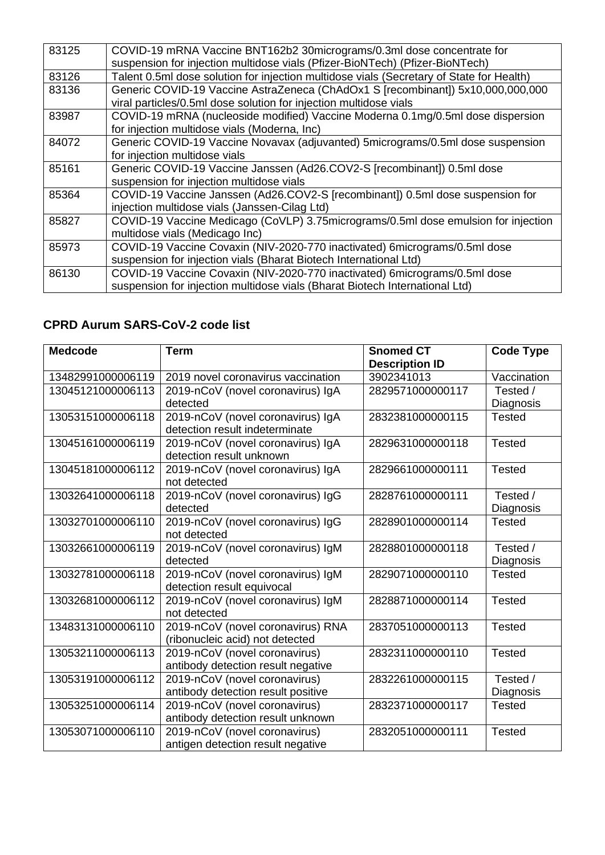| 83125 | COVID-19 mRNA Vaccine BNT162b2 30micrograms/0.3ml dose concentrate for                   |
|-------|------------------------------------------------------------------------------------------|
|       | suspension for injection multidose vials (Pfizer-BioNTech) (Pfizer-BioNTech)             |
| 83126 | Talent 0.5ml dose solution for injection multidose vials (Secretary of State for Health) |
| 83136 | Generic COVID-19 Vaccine AstraZeneca (ChAdOx1 S [recombinant]) 5x10,000,000,000          |
|       | viral particles/0.5ml dose solution for injection multidose vials                        |
| 83987 | COVID-19 mRNA (nucleoside modified) Vaccine Moderna 0.1mg/0.5ml dose dispersion          |
|       | for injection multidose vials (Moderna, Inc)                                             |
| 84072 | Generic COVID-19 Vaccine Novavax (adjuvanted) 5micrograms/0.5ml dose suspension          |
|       | for injection multidose vials                                                            |
| 85161 | Generic COVID-19 Vaccine Janssen (Ad26.COV2-S [recombinant]) 0.5ml dose                  |
|       | suspension for injection multidose vials                                                 |
| 85364 | COVID-19 Vaccine Janssen (Ad26.COV2-S [recombinant]) 0.5ml dose suspension for           |
|       | injection multidose vials (Janssen-Cilag Ltd)                                            |
| 85827 | COVID-19 Vaccine Medicago (CoVLP) 3.75 micrograms/0.5 ml dose emulsion for injection     |
|       | multidose vials (Medicago Inc)                                                           |
| 85973 | COVID-19 Vaccine Covaxin (NIV-2020-770 inactivated) 6micrograms/0.5ml dose               |
|       | suspension for injection vials (Bharat Biotech International Ltd)                        |
| 86130 | COVID-19 Vaccine Covaxin (NIV-2020-770 inactivated) 6micrograms/0.5ml dose               |
|       | suspension for injection multidose vials (Bharat Biotech International Ltd)              |
|       |                                                                                          |

## **CPRD Aurum SARS-CoV-2 code list**

| <b>Medcode</b>    | <b>Term</b>                        | <b>Snomed CT</b>      | <b>Code Type</b> |
|-------------------|------------------------------------|-----------------------|------------------|
|                   |                                    | <b>Description ID</b> |                  |
| 13482991000006119 | 2019 novel coronavirus vaccination | 3902341013            | Vaccination      |
| 13045121000006113 | 2019-nCoV (novel coronavirus) IgA  | 2829571000000117      | Tested /         |
|                   | detected                           |                       | Diagnosis        |
| 13053151000006118 | 2019-nCoV (novel coronavirus) IgA  | 2832381000000115      | <b>Tested</b>    |
|                   | detection result indeterminate     |                       |                  |
| 13045161000006119 | 2019-nCoV (novel coronavirus) IgA  | 2829631000000118      | <b>Tested</b>    |
|                   | detection result unknown           |                       |                  |
| 13045181000006112 | 2019-nCoV (novel coronavirus) IgA  | 2829661000000111      | <b>Tested</b>    |
|                   | not detected                       |                       |                  |
| 13032641000006118 | 2019-nCoV (novel coronavirus) IgG  | 2828761000000111      | Tested /         |
|                   | detected                           |                       | Diagnosis        |
| 13032701000006110 | 2019-nCoV (novel coronavirus) IgG  | 2828901000000114      | <b>Tested</b>    |
|                   | not detected                       |                       |                  |
| 13032661000006119 | 2019-nCoV (novel coronavirus) IgM  | 2828801000000118      | Tested /         |
|                   | detected                           |                       | Diagnosis        |
| 13032781000006118 | 2019-nCoV (novel coronavirus) IgM  | 2829071000000110      | <b>Tested</b>    |
|                   | detection result equivocal         |                       |                  |
| 13032681000006112 | 2019-nCoV (novel coronavirus) IgM  | 2828871000000114      | <b>Tested</b>    |
|                   | not detected                       |                       |                  |
| 13483131000006110 | 2019-nCoV (novel coronavirus) RNA  | 2837051000000113      | <b>Tested</b>    |
|                   | (ribonucleic acid) not detected    |                       |                  |
| 13053211000006113 | 2019-nCoV (novel coronavirus)      | 2832311000000110      | <b>Tested</b>    |
|                   | antibody detection result negative |                       |                  |
| 13053191000006112 | 2019-nCoV (novel coronavirus)      | 2832261000000115      | Tested /         |
|                   | antibody detection result positive |                       | Diagnosis        |
| 13053251000006114 | 2019-nCoV (novel coronavirus)      | 2832371000000117      | <b>Tested</b>    |
|                   | antibody detection result unknown  |                       |                  |
| 13053071000006110 | 2019-nCoV (novel coronavirus)      | 2832051000000111      | <b>Tested</b>    |
|                   | antigen detection result negative  |                       |                  |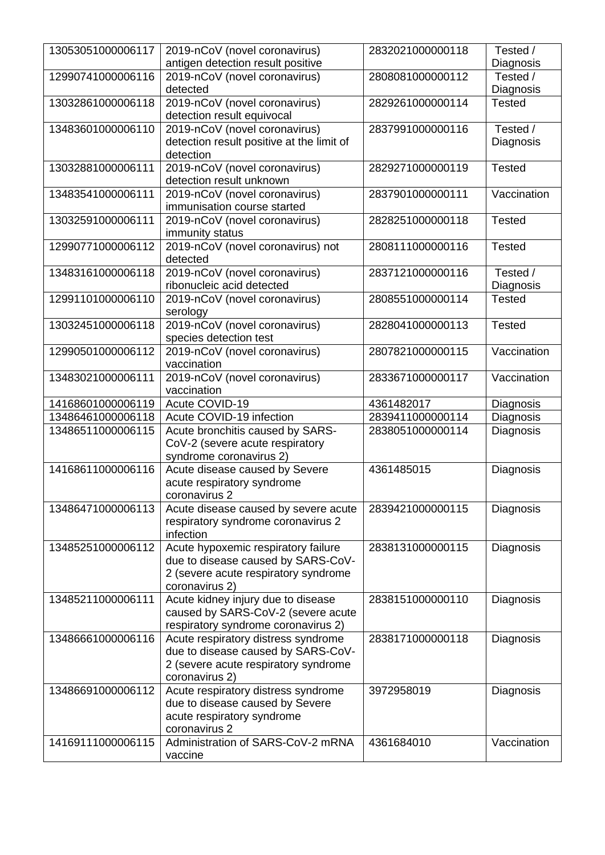| 13053051000006117 | 2019-nCoV (novel coronavirus)<br>antigen detection result positive     | 2832021000000118 | Tested /<br>Diagnosis |
|-------------------|------------------------------------------------------------------------|------------------|-----------------------|
| 12990741000006116 | 2019-nCoV (novel coronavirus)                                          | 2808081000000112 | Tested /              |
|                   | detected                                                               |                  | Diagnosis             |
| 13032861000006118 | 2019-nCoV (novel coronavirus)                                          | 2829261000000114 | <b>Tested</b>         |
|                   | detection result equivocal                                             |                  |                       |
| 13483601000006110 | 2019-nCoV (novel coronavirus)                                          | 2837991000000116 | Tested /              |
|                   | detection result positive at the limit of                              |                  | Diagnosis             |
|                   | detection                                                              |                  |                       |
| 13032881000006111 | 2019-nCoV (novel coronavirus)                                          | 2829271000000119 | <b>Tested</b>         |
|                   | detection result unknown                                               |                  |                       |
| 13483541000006111 | 2019-nCoV (novel coronavirus)                                          | 2837901000000111 | Vaccination           |
|                   | immunisation course started                                            |                  |                       |
|                   |                                                                        |                  | <b>Tested</b>         |
| 13032591000006111 | 2019-nCoV (novel coronavirus)                                          | 2828251000000118 |                       |
|                   | immunity status                                                        |                  |                       |
| 12990771000006112 | 2019-nCoV (novel coronavirus) not                                      | 2808111000000116 | <b>Tested</b>         |
|                   | detected                                                               |                  |                       |
| 13483161000006118 | 2019-nCoV (novel coronavirus)                                          | 2837121000000116 | Tested /              |
|                   | ribonucleic acid detected                                              |                  | Diagnosis             |
| 12991101000006110 | 2019-nCoV (novel coronavirus)                                          | 2808551000000114 | <b>Tested</b>         |
|                   | serology                                                               |                  |                       |
| 13032451000006118 | 2019-nCoV (novel coronavirus)                                          | 2828041000000113 | <b>Tested</b>         |
|                   | species detection test                                                 |                  |                       |
| 12990501000006112 | 2019-nCoV (novel coronavirus)                                          | 2807821000000115 | Vaccination           |
|                   | vaccination                                                            |                  |                       |
| 13483021000006111 | 2019-nCoV (novel coronavirus)                                          | 2833671000000117 | Vaccination           |
|                   | vaccination                                                            |                  |                       |
| 14168601000006119 | Acute COVID-19                                                         | 4361482017       | Diagnosis             |
| 13486461000006118 | Acute COVID-19 infection                                               | 2839411000000114 | Diagnosis             |
| 13486511000006115 | Acute bronchitis caused by SARS-                                       | 2838051000000114 | Diagnosis             |
|                   | CoV-2 (severe acute respiratory                                        |                  |                       |
|                   | syndrome coronavirus 2)                                                |                  |                       |
| 14168611000006116 | Acute disease caused by Severe                                         | 4361485015       | Diagnosis             |
|                   | acute respiratory syndrome                                             |                  |                       |
|                   | coronavirus 2                                                          |                  |                       |
| 13486471000006113 | Acute disease caused by severe acute                                   | 2839421000000115 | Diagnosis             |
|                   | respiratory syndrome coronavirus 2                                     |                  |                       |
|                   | infection                                                              |                  |                       |
| 13485251000006112 | Acute hypoxemic respiratory failure                                    | 2838131000000115 | Diagnosis             |
|                   | due to disease caused by SARS-CoV-                                     |                  |                       |
|                   | 2 (severe acute respiratory syndrome                                   |                  |                       |
|                   | coronavirus 2)                                                         |                  |                       |
| 13485211000006111 | Acute kidney injury due to disease                                     | 2838151000000110 | Diagnosis             |
|                   | caused by SARS-CoV-2 (severe acute                                     |                  |                       |
|                   | respiratory syndrome coronavirus 2)                                    |                  |                       |
| 13486661000006116 | Acute respiratory distress syndrome                                    | 2838171000000118 | Diagnosis             |
|                   | due to disease caused by SARS-CoV-                                     |                  |                       |
|                   | 2 (severe acute respiratory syndrome                                   |                  |                       |
|                   | coronavirus 2)                                                         |                  |                       |
| 13486691000006112 |                                                                        | 3972958019       |                       |
|                   | Acute respiratory distress syndrome<br>due to disease caused by Severe |                  | Diagnosis             |
|                   |                                                                        |                  |                       |
|                   | acute respiratory syndrome<br>coronavirus 2                            |                  |                       |
| 14169111000006115 | Administration of SARS-CoV-2 mRNA                                      | 4361684010       | Vaccination           |
|                   |                                                                        |                  |                       |
|                   | vaccine                                                                |                  |                       |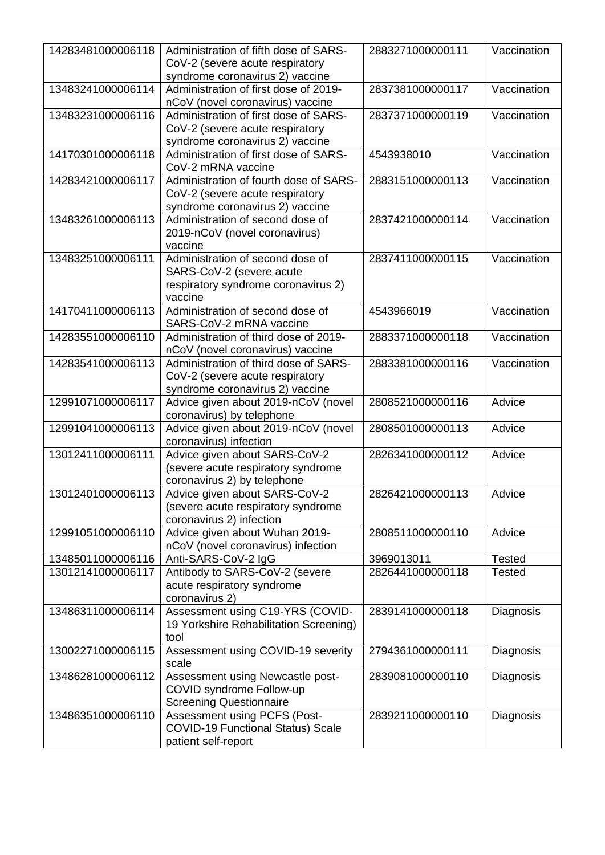| 14283481000006118 | Administration of fifth dose of SARS-<br>CoV-2 (severe acute respiratory<br>syndrome coronavirus 2) vaccine    | 2883271000000111 | Vaccination   |
|-------------------|----------------------------------------------------------------------------------------------------------------|------------------|---------------|
| 13483241000006114 | Administration of first dose of 2019-<br>nCoV (novel coronavirus) vaccine                                      | 2837381000000117 | Vaccination   |
| 13483231000006116 | Administration of first dose of SARS-<br>CoV-2 (severe acute respiratory<br>syndrome coronavirus 2) vaccine    | 2837371000000119 | Vaccination   |
| 14170301000006118 | Administration of first dose of SARS-<br>CoV-2 mRNA vaccine                                                    | 4543938010       | Vaccination   |
| 14283421000006117 | Administration of fourth dose of SARS-<br>CoV-2 (severe acute respiratory<br>syndrome coronavirus 2) vaccine   | 2883151000000113 | Vaccination   |
| 13483261000006113 | Administration of second dose of<br>2019-nCoV (novel coronavirus)<br>vaccine                                   | 2837421000000114 | Vaccination   |
| 13483251000006111 | Administration of second dose of<br>SARS-CoV-2 (severe acute<br>respiratory syndrome coronavirus 2)<br>vaccine | 2837411000000115 | Vaccination   |
| 14170411000006113 | Administration of second dose of<br>SARS-CoV-2 mRNA vaccine                                                    | 4543966019       | Vaccination   |
| 14283551000006110 | Administration of third dose of 2019-<br>nCoV (novel coronavirus) vaccine                                      | 2883371000000118 | Vaccination   |
| 14283541000006113 | Administration of third dose of SARS-<br>CoV-2 (severe acute respiratory<br>syndrome coronavirus 2) vaccine    | 2883381000000116 | Vaccination   |
| 12991071000006117 | Advice given about 2019-nCoV (novel<br>coronavirus) by telephone                                               | 2808521000000116 | Advice        |
| 12991041000006113 | Advice given about 2019-nCoV (novel<br>coronavirus) infection                                                  | 2808501000000113 | Advice        |
| 13012411000006111 | Advice given about SARS-CoV-2<br>(severe acute respiratory syndrome<br>coronavirus 2) by telephone             | 2826341000000112 | Advice        |
| 13012401000006113 | Advice given about SARS-CoV-2<br>(severe acute respiratory syndrome<br>coronavirus 2) infection                | 2826421000000113 | Advice        |
| 12991051000006110 | Advice given about Wuhan 2019-<br>nCoV (novel coronavirus) infection                                           | 2808511000000110 | Advice        |
| 13485011000006116 | Anti-SARS-CoV-2 IgG                                                                                            | 3969013011       | <b>Tested</b> |
| 13012141000006117 | Antibody to SARS-CoV-2 (severe<br>acute respiratory syndrome<br>coronavirus 2)                                 | 2826441000000118 | <b>Tested</b> |
| 13486311000006114 | Assessment using C19-YRS (COVID-<br>19 Yorkshire Rehabilitation Screening)<br>tool                             | 2839141000000118 | Diagnosis     |
| 13002271000006115 | Assessment using COVID-19 severity<br>scale                                                                    | 2794361000000111 | Diagnosis     |
| 13486281000006112 | Assessment using Newcastle post-<br>COVID syndrome Follow-up<br><b>Screening Questionnaire</b>                 | 2839081000000110 | Diagnosis     |
| 13486351000006110 | Assessment using PCFS (Post-<br><b>COVID-19 Functional Status) Scale</b><br>patient self-report                | 2839211000000110 | Diagnosis     |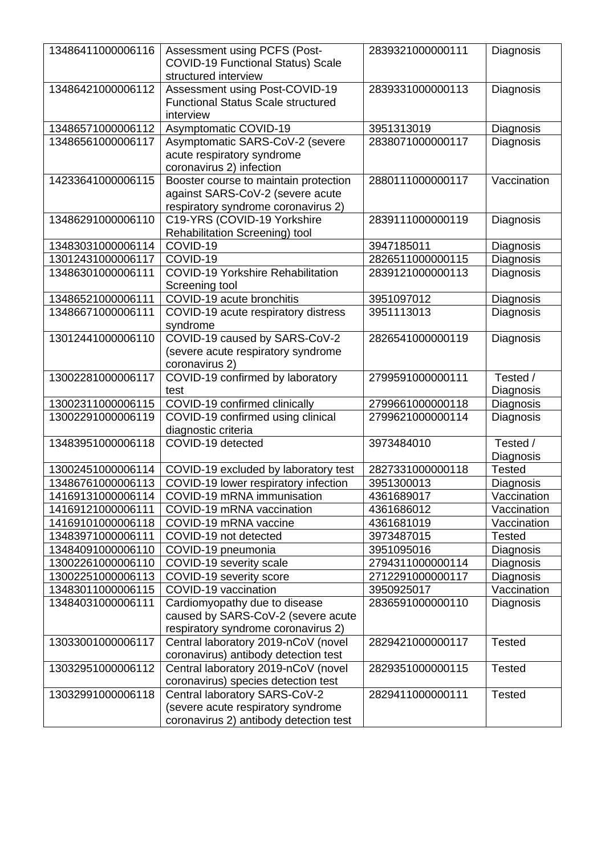| 13486411000006116 | Assessment using PCFS (Post-                                            | 2839321000000111 | Diagnosis     |
|-------------------|-------------------------------------------------------------------------|------------------|---------------|
|                   | COVID-19 Functional Status) Scale<br>structured interview               |                  |               |
| 13486421000006112 | Assessment using Post-COVID-19                                          | 2839331000000113 | Diagnosis     |
|                   | <b>Functional Status Scale structured</b>                               |                  |               |
|                   | interview                                                               |                  |               |
| 13486571000006112 | <b>Asymptomatic COVID-19</b>                                            | 3951313019       | Diagnosis     |
| 13486561000006117 | Asymptomatic SARS-CoV-2 (severe                                         | 2838071000000117 | Diagnosis     |
|                   | acute respiratory syndrome                                              |                  |               |
|                   | coronavirus 2) infection                                                |                  |               |
| 14233641000006115 | Booster course to maintain protection                                   | 2880111000000117 | Vaccination   |
|                   | against SARS-CoV-2 (severe acute<br>respiratory syndrome coronavirus 2) |                  |               |
| 13486291000006110 | C19-YRS (COVID-19 Yorkshire                                             | 2839111000000119 | Diagnosis     |
|                   | Rehabilitation Screening) tool                                          |                  |               |
| 13483031000006114 | COVID-19                                                                | 3947185011       | Diagnosis     |
| 13012431000006117 | COVID-19                                                                | 2826511000000115 | Diagnosis     |
| 13486301000006111 | <b>COVID-19 Yorkshire Rehabilitation</b>                                | 2839121000000113 | Diagnosis     |
|                   | Screening tool                                                          |                  |               |
| 13486521000006111 | COVID-19 acute bronchitis                                               | 3951097012       | Diagnosis     |
| 13486671000006111 | COVID-19 acute respiratory distress<br>syndrome                         | 3951113013       | Diagnosis     |
| 13012441000006110 | COVID-19 caused by SARS-CoV-2                                           | 2826541000000119 | Diagnosis     |
|                   | (severe acute respiratory syndrome                                      |                  |               |
|                   | coronavirus 2)                                                          |                  |               |
| 13002281000006117 | COVID-19 confirmed by laboratory                                        | 2799591000000111 | Tested /      |
|                   | test                                                                    |                  | Diagnosis     |
| 13002311000006115 | COVID-19 confirmed clinically                                           | 2799661000000118 | Diagnosis     |
| 13002291000006119 | COVID-19 confirmed using clinical                                       | 2799621000000114 | Diagnosis     |
| 13483951000006118 | diagnostic criteria<br>COVID-19 detected                                | 3973484010       | Tested /      |
|                   |                                                                         |                  | Diagnosis     |
| 13002451000006114 | COVID-19 excluded by laboratory test                                    | 2827331000000118 | <b>Tested</b> |
| 13486761000006113 | COVID-19 lower respiratory infection                                    | 3951300013       | Diagnosis     |
| 14169131000006114 | COVID-19 mRNA immunisation                                              | 4361689017       | Vaccination   |
| 14169121000006111 | COVID-19 mRNA vaccination                                               | 4361686012       | Vaccination   |
| 14169101000006118 | COVID-19 mRNA vaccine                                                   | 4361681019       | Vaccination   |
| 13483971000006111 | COVID-19 not detected                                                   | 3973487015       | <b>Tested</b> |
| 13484091000006110 | COVID-19 pneumonia                                                      | 3951095016       | Diagnosis     |
| 13002261000006110 | COVID-19 severity scale                                                 | 2794311000000114 | Diagnosis     |
| 13002251000006113 | COVID-19 severity score                                                 | 2712291000000117 | Diagnosis     |
| 13483011000006115 | COVID-19 vaccination                                                    | 3950925017       | Vaccination   |
| 13484031000006111 | Cardiomyopathy due to disease                                           | 2836591000000110 | Diagnosis     |
|                   | caused by SARS-CoV-2 (severe acute                                      |                  |               |
|                   | respiratory syndrome coronavirus 2)                                     |                  |               |
| 13033001000006117 | Central laboratory 2019-nCoV (novel                                     | 2829421000000117 | <b>Tested</b> |
|                   | coronavirus) antibody detection test                                    |                  |               |
| 13032951000006112 | Central laboratory 2019-nCoV (novel                                     | 2829351000000115 | <b>Tested</b> |
| 13032991000006118 | coronavirus) species detection test<br>Central laboratory SARS-CoV-2    | 2829411000000111 | <b>Tested</b> |
|                   | (severe acute respiratory syndrome                                      |                  |               |
|                   | coronavirus 2) antibody detection test                                  |                  |               |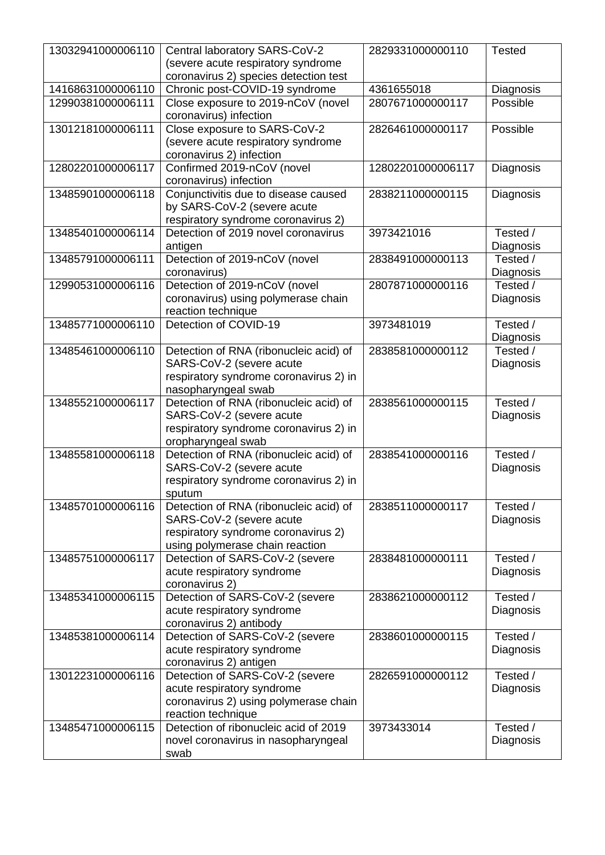| 13032941000006110 | Central laboratory SARS-CoV-2          | 2829331000000110  | <b>Tested</b> |
|-------------------|----------------------------------------|-------------------|---------------|
|                   | (severe acute respiratory syndrome     |                   |               |
|                   | coronavirus 2) species detection test  |                   |               |
| 14168631000006110 | Chronic post-COVID-19 syndrome         | 4361655018        | Diagnosis     |
| 12990381000006111 | Close exposure to 2019-nCoV (novel     | 2807671000000117  | Possible      |
|                   | coronavirus) infection                 |                   |               |
| 13012181000006111 | Close exposure to SARS-CoV-2           | 2826461000000117  | Possible      |
|                   | (severe acute respiratory syndrome     |                   |               |
|                   | coronavirus 2) infection               |                   |               |
| 12802201000006117 | Confirmed 2019-nCoV (novel             | 12802201000006117 | Diagnosis     |
|                   | coronavirus) infection                 |                   |               |
| 13485901000006118 | Conjunctivitis due to disease caused   | 2838211000000115  | Diagnosis     |
|                   | by SARS-CoV-2 (severe acute            |                   |               |
|                   | respiratory syndrome coronavirus 2)    |                   |               |
| 13485401000006114 | Detection of 2019 novel coronavirus    | 3973421016        | Tested /      |
|                   | antigen                                |                   | Diagnosis     |
| 13485791000006111 | Detection of 2019-nCoV (novel          | 2838491000000113  | Tested /      |
|                   | coronavirus)                           |                   | Diagnosis     |
| 12990531000006116 | Detection of 2019-nCoV (novel          | 2807871000000116  | Tested /      |
|                   | coronavirus) using polymerase chain    |                   | Diagnosis     |
|                   | reaction technique                     |                   |               |
| 13485771000006110 | Detection of COVID-19                  | 3973481019        | Tested /      |
|                   |                                        |                   | Diagnosis     |
| 13485461000006110 | Detection of RNA (ribonucleic acid) of | 2838581000000112  | Tested /      |
|                   | SARS-CoV-2 (severe acute               |                   | Diagnosis     |
|                   | respiratory syndrome coronavirus 2) in |                   |               |
|                   | nasopharyngeal swab                    |                   |               |
| 13485521000006117 | Detection of RNA (ribonucleic acid) of | 2838561000000115  | Tested /      |
|                   | SARS-CoV-2 (severe acute               |                   | Diagnosis     |
|                   | respiratory syndrome coronavirus 2) in |                   |               |
|                   | oropharyngeal swab                     |                   |               |
| 13485581000006118 | Detection of RNA (ribonucleic acid) of | 2838541000000116  | Tested /      |
|                   | SARS-CoV-2 (severe acute               |                   | Diagnosis     |
|                   | respiratory syndrome coronavirus 2) in |                   |               |
|                   | sputum                                 |                   |               |
| 13485701000006116 | Detection of RNA (ribonucleic acid) of | 2838511000000117  | Tested /      |
|                   | SARS-CoV-2 (severe acute               |                   | Diagnosis     |
|                   | respiratory syndrome coronavirus 2)    |                   |               |
|                   | using polymerase chain reaction        |                   |               |
| 13485751000006117 | Detection of SARS-CoV-2 (severe        | 2838481000000111  | Tested /      |
|                   | acute respiratory syndrome             |                   | Diagnosis     |
|                   | coronavirus 2)                         |                   |               |
| 13485341000006115 | Detection of SARS-CoV-2 (severe        | 2838621000000112  | Tested /      |
|                   | acute respiratory syndrome             |                   | Diagnosis     |
|                   | coronavirus 2) antibody                |                   |               |
| 13485381000006114 | Detection of SARS-CoV-2 (severe        | 2838601000000115  | Tested /      |
|                   | acute respiratory syndrome             |                   | Diagnosis     |
|                   | coronavirus 2) antigen                 |                   |               |
| 13012231000006116 | Detection of SARS-CoV-2 (severe        | 2826591000000112  | Tested /      |
|                   | acute respiratory syndrome             |                   | Diagnosis     |
|                   | coronavirus 2) using polymerase chain  |                   |               |
|                   | reaction technique                     |                   |               |
| 13485471000006115 | Detection of ribonucleic acid of 2019  | 3973433014        | Tested /      |
|                   | novel coronavirus in nasopharyngeal    |                   | Diagnosis     |
|                   | swab                                   |                   |               |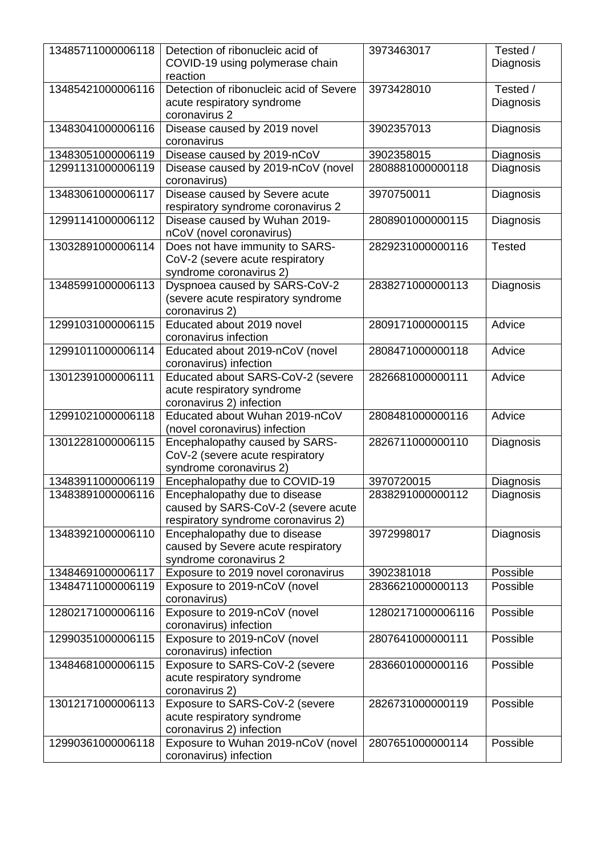| 13485711000006118 | Detection of ribonucleic acid of<br>COVID-19 using polymerase chain<br>reaction                            | 3973463017        | Tested /<br>Diagnosis |
|-------------------|------------------------------------------------------------------------------------------------------------|-------------------|-----------------------|
| 13485421000006116 | Detection of ribonucleic acid of Severe<br>acute respiratory syndrome<br>coronavirus 2                     | 3973428010        | Tested /<br>Diagnosis |
| 13483041000006116 | Disease caused by 2019 novel<br>coronavirus                                                                | 3902357013        | Diagnosis             |
| 13483051000006119 | Disease caused by 2019-nCoV                                                                                | 3902358015        | Diagnosis             |
| 12991131000006119 | Disease caused by 2019-nCoV (novel<br>coronavirus)                                                         | 2808881000000118  | Diagnosis             |
| 13483061000006117 | Disease caused by Severe acute<br>respiratory syndrome coronavirus 2                                       | 3970750011        | Diagnosis             |
| 12991141000006112 | Disease caused by Wuhan 2019-<br>nCoV (novel coronavirus)                                                  | 2808901000000115  | Diagnosis             |
| 13032891000006114 | Does not have immunity to SARS-<br>CoV-2 (severe acute respiratory<br>syndrome coronavirus 2)              | 2829231000000116  | <b>Tested</b>         |
| 13485991000006113 | Dyspnoea caused by SARS-CoV-2<br>(severe acute respiratory syndrome<br>coronavirus 2)                      | 2838271000000113  | Diagnosis             |
| 12991031000006115 | Educated about 2019 novel<br>coronavirus infection                                                         | 2809171000000115  | Advice                |
| 12991011000006114 | Educated about 2019-nCoV (novel<br>coronavirus) infection                                                  | 2808471000000118  | Advice                |
| 13012391000006111 | Educated about SARS-CoV-2 (severe<br>acute respiratory syndrome<br>coronavirus 2) infection                | 2826681000000111  | Advice                |
| 12991021000006118 | Educated about Wuhan 2019-nCoV<br>(novel coronavirus) infection                                            | 2808481000000116  | Advice                |
| 13012281000006115 | Encephalopathy caused by SARS-<br>CoV-2 (severe acute respiratory<br>syndrome coronavirus 2)               | 2826711000000110  | Diagnosis             |
| 13483911000006119 | Encephalopathy due to COVID-19                                                                             | 3970720015        | Diagnosis             |
| 13483891000006116 | Encephalopathy due to disease<br>caused by SARS-CoV-2 (severe acute<br>respiratory syndrome coronavirus 2) | 2838291000000112  | Diagnosis             |
| 13483921000006110 | Encephalopathy due to disease<br>caused by Severe acute respiratory<br>syndrome coronavirus 2              | 3972998017        | Diagnosis             |
| 13484691000006117 | Exposure to 2019 novel coronavirus                                                                         | 3902381018        | Possible              |
| 13484711000006119 | Exposure to 2019-nCoV (novel<br>coronavirus)                                                               | 2836621000000113  | Possible              |
| 12802171000006116 | Exposure to 2019-nCoV (novel<br>coronavirus) infection                                                     | 12802171000006116 | Possible              |
| 12990351000006115 | Exposure to 2019-nCoV (novel<br>coronavirus) infection                                                     | 2807641000000111  | Possible              |
| 13484681000006115 | Exposure to SARS-CoV-2 (severe<br>acute respiratory syndrome<br>coronavirus 2)                             | 2836601000000116  | Possible              |
| 13012171000006113 | Exposure to SARS-CoV-2 (severe<br>acute respiratory syndrome<br>coronavirus 2) infection                   | 2826731000000119  | Possible              |
| 12990361000006118 | Exposure to Wuhan 2019-nCoV (novel<br>coronavirus) infection                                               | 2807651000000114  | Possible              |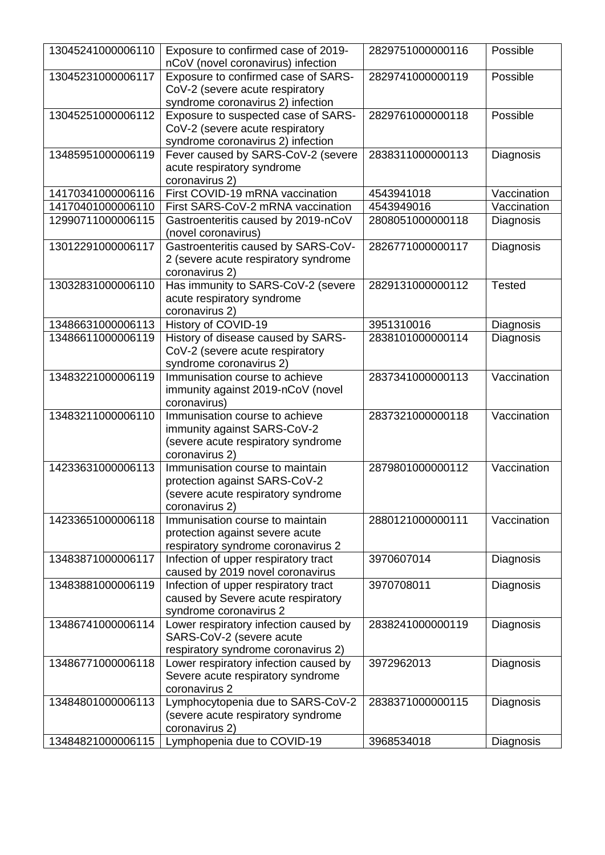| 13045241000006110 | Exposure to confirmed case of 2019-<br>nCoV (novel coronavirus) infection                                                | 2829751000000116 | Possible      |
|-------------------|--------------------------------------------------------------------------------------------------------------------------|------------------|---------------|
| 13045231000006117 | Exposure to confirmed case of SARS-<br>CoV-2 (severe acute respiratory                                                   | 2829741000000119 | Possible      |
|                   | syndrome coronavirus 2) infection                                                                                        |                  |               |
| 13045251000006112 | Exposure to suspected case of SARS-<br>CoV-2 (severe acute respiratory                                                   | 2829761000000118 | Possible      |
|                   | syndrome coronavirus 2) infection                                                                                        |                  |               |
| 13485951000006119 | Fever caused by SARS-CoV-2 (severe<br>acute respiratory syndrome<br>coronavirus 2)                                       | 2838311000000113 | Diagnosis     |
| 14170341000006116 | First COVID-19 mRNA vaccination                                                                                          | 4543941018       | Vaccination   |
| 14170401000006110 | First SARS-CoV-2 mRNA vaccination                                                                                        | 4543949016       | Vaccination   |
| 12990711000006115 | Gastroenteritis caused by 2019-nCoV<br>(novel coronavirus)                                                               | 2808051000000118 | Diagnosis     |
| 13012291000006117 | Gastroenteritis caused by SARS-CoV-<br>2 (severe acute respiratory syndrome<br>coronavirus 2)                            | 2826771000000117 | Diagnosis     |
| 13032831000006110 | Has immunity to SARS-CoV-2 (severe<br>acute respiratory syndrome<br>coronavirus 2)                                       | 2829131000000112 | <b>Tested</b> |
| 13486631000006113 | History of COVID-19                                                                                                      | 3951310016       | Diagnosis     |
| 13486611000006119 | History of disease caused by SARS-<br>CoV-2 (severe acute respiratory<br>syndrome coronavirus 2)                         | 2838101000000114 | Diagnosis     |
| 13483221000006119 | Immunisation course to achieve<br>immunity against 2019-nCoV (novel<br>coronavirus)                                      | 2837341000000113 | Vaccination   |
| 13483211000006110 | Immunisation course to achieve<br>immunity against SARS-CoV-2<br>(severe acute respiratory syndrome<br>coronavirus 2)    | 2837321000000118 | Vaccination   |
| 14233631000006113 | Immunisation course to maintain<br>protection against SARS-CoV-2<br>(severe acute respiratory syndrome<br>coronavirus 2) | 2879801000000112 | Vaccination   |
| 14233651000006118 | Immunisation course to maintain<br>protection against severe acute<br>respiratory syndrome coronavirus 2                 | 2880121000000111 | Vaccination   |
| 13483871000006117 | Infection of upper respiratory tract<br>caused by 2019 novel coronavirus                                                 | 3970607014       | Diagnosis     |
| 13483881000006119 | Infection of upper respiratory tract<br>caused by Severe acute respiratory<br>syndrome coronavirus 2                     | 3970708011       | Diagnosis     |
| 13486741000006114 | Lower respiratory infection caused by<br>SARS-CoV-2 (severe acute<br>respiratory syndrome coronavirus 2)                 | 2838241000000119 | Diagnosis     |
| 13486771000006118 | Lower respiratory infection caused by<br>Severe acute respiratory syndrome<br>coronavirus 2                              | 3972962013       | Diagnosis     |
| 13484801000006113 | Lymphocytopenia due to SARS-CoV-2<br>(severe acute respiratory syndrome<br>coronavirus 2)                                | 2838371000000115 | Diagnosis     |
| 13484821000006115 | Lymphopenia due to COVID-19                                                                                              | 3968534018       | Diagnosis     |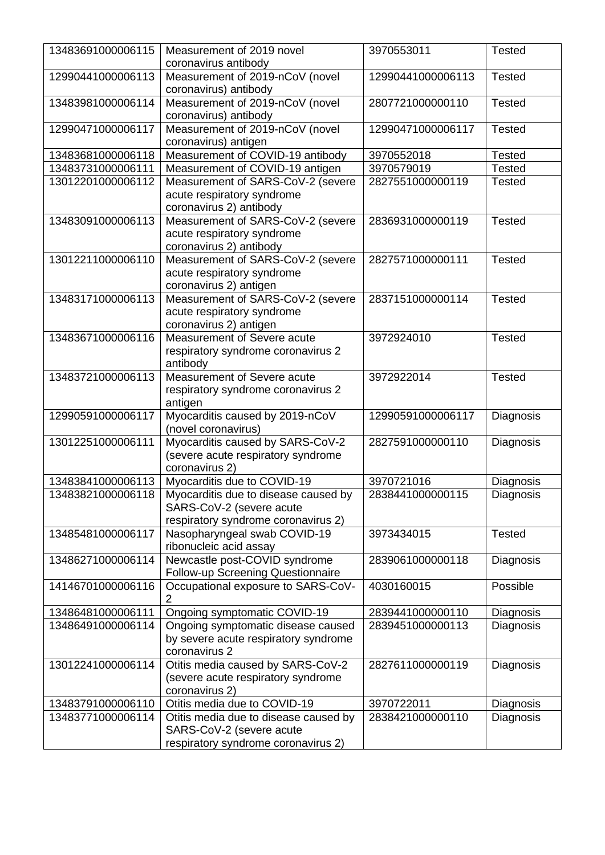| 13483691000006115 | Measurement of 2019 novel<br>coronavirus antibody | 3970553011        | <b>Tested</b> |
|-------------------|---------------------------------------------------|-------------------|---------------|
| 12990441000006113 | Measurement of 2019-nCoV (novel                   | 12990441000006113 | <b>Tested</b> |
|                   | coronavirus) antibody                             |                   |               |
| 13483981000006114 | Measurement of 2019-nCoV (novel                   | 2807721000000110  | <b>Tested</b> |
|                   | coronavirus) antibody                             |                   |               |
| 12990471000006117 | Measurement of 2019-nCoV (novel                   | 12990471000006117 | <b>Tested</b> |
|                   | coronavirus) antigen                              |                   |               |
| 13483681000006118 | Measurement of COVID-19 antibody                  | 3970552018        | <b>Tested</b> |
| 13483731000006111 | Measurement of COVID-19 antigen                   | 3970579019        | <b>Tested</b> |
| 13012201000006112 | Measurement of SARS-CoV-2 (severe                 | 2827551000000119  | <b>Tested</b> |
|                   |                                                   |                   |               |
|                   | acute respiratory syndrome                        |                   |               |
|                   | coronavirus 2) antibody                           |                   |               |
| 13483091000006113 | Measurement of SARS-CoV-2 (severe                 | 2836931000000119  | <b>Tested</b> |
|                   | acute respiratory syndrome                        |                   |               |
|                   | coronavirus 2) antibody                           |                   |               |
| 13012211000006110 | Measurement of SARS-CoV-2 (severe                 | 2827571000000111  | <b>Tested</b> |
|                   | acute respiratory syndrome                        |                   |               |
|                   | coronavirus 2) antigen                            |                   |               |
| 13483171000006113 | Measurement of SARS-CoV-2 (severe                 | 2837151000000114  | <b>Tested</b> |
|                   | acute respiratory syndrome                        |                   |               |
|                   | coronavirus 2) antigen                            |                   |               |
| 13483671000006116 | Measurement of Severe acute                       | 3972924010        | <b>Tested</b> |
|                   | respiratory syndrome coronavirus 2                |                   |               |
|                   | antibody                                          |                   |               |
| 13483721000006113 | Measurement of Severe acute                       | 3972922014        | <b>Tested</b> |
|                   | respiratory syndrome coronavirus 2                |                   |               |
|                   | antigen                                           |                   |               |
| 12990591000006117 | Myocarditis caused by 2019-nCoV                   | 12990591000006117 | Diagnosis     |
|                   | (novel coronavirus)                               |                   |               |
| 13012251000006111 | Myocarditis caused by SARS-CoV-2                  | 2827591000000110  | Diagnosis     |
|                   | (severe acute respiratory syndrome                |                   |               |
|                   | coronavirus 2)                                    |                   |               |
| 13483841000006113 | Myocarditis due to COVID-19                       | 3970721016        | Diagnosis     |
| 13483821000006118 | Myocarditis due to disease caused by              | 2838441000000115  | Diagnosis     |
|                   | SARS-CoV-2 (severe acute                          |                   |               |
|                   | respiratory syndrome coronavirus 2)               |                   |               |
| 13485481000006117 | Nasopharyngeal swab COVID-19                      | 3973434015        | <b>Tested</b> |
|                   | ribonucleic acid assay                            |                   |               |
| 13486271000006114 | Newcastle post-COVID syndrome                     | 2839061000000118  | Diagnosis     |
|                   | Follow-up Screening Questionnaire                 |                   |               |
| 14146701000006116 | Occupational exposure to SARS-CoV-                | 4030160015        | Possible      |
|                   | $\overline{2}$                                    |                   |               |
| 13486481000006111 | Ongoing symptomatic COVID-19                      | 2839441000000110  | Diagnosis     |
| 13486491000006114 | Ongoing symptomatic disease caused                | 2839451000000113  | Diagnosis     |
|                   | by severe acute respiratory syndrome              |                   |               |
|                   | coronavirus 2                                     |                   |               |
| 13012241000006114 | Otitis media caused by SARS-CoV-2                 | 2827611000000119  | Diagnosis     |
|                   | (severe acute respiratory syndrome                |                   |               |
|                   | coronavirus 2)                                    |                   |               |
| 13483791000006110 | Otitis media due to COVID-19                      | 3970722011        | Diagnosis     |
| 13483771000006114 | Otitis media due to disease caused by             | 2838421000000110  | Diagnosis     |
|                   | SARS-CoV-2 (severe acute                          |                   |               |
|                   | respiratory syndrome coronavirus 2)               |                   |               |
|                   |                                                   |                   |               |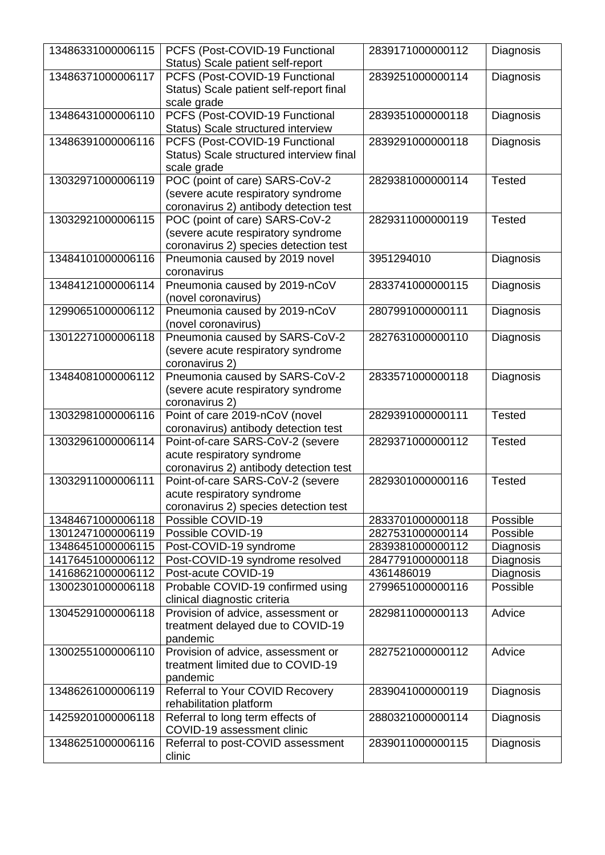| 13486331000006115                      | PCFS (Post-COVID-19 Functional<br>Status) Scale patient self-report        | 2839171000000112               | Diagnosis              |
|----------------------------------------|----------------------------------------------------------------------------|--------------------------------|------------------------|
| 13486371000006117                      | PCFS (Post-COVID-19 Functional<br>Status) Scale patient self-report final  | 2839251000000114               | Diagnosis              |
|                                        | scale grade                                                                |                                |                        |
| 13486431000006110                      | PCFS (Post-COVID-19 Functional                                             | 2839351000000118               | Diagnosis              |
|                                        | Status) Scale structured interview                                         |                                |                        |
| 13486391000006116                      | PCFS (Post-COVID-19 Functional<br>Status) Scale structured interview final | 2839291000000118               | Diagnosis              |
|                                        | scale grade                                                                |                                |                        |
| 13032971000006119                      | POC (point of care) SARS-CoV-2                                             | 2829381000000114               | <b>Tested</b>          |
|                                        | (severe acute respiratory syndrome                                         |                                |                        |
|                                        | coronavirus 2) antibody detection test                                     |                                |                        |
| 13032921000006115                      | POC (point of care) SARS-CoV-2                                             | 2829311000000119               | <b>Tested</b>          |
|                                        | (severe acute respiratory syndrome                                         |                                |                        |
| 13484101000006116                      | coronavirus 2) species detection test                                      |                                |                        |
|                                        | Pneumonia caused by 2019 novel<br>coronavirus                              | 3951294010                     | Diagnosis              |
| 13484121000006114                      | Pneumonia caused by 2019-nCoV                                              | 2833741000000115               | Diagnosis              |
| 12990651000006112                      | (novel coronavirus)<br>Pneumonia caused by 2019-nCoV                       | 2807991000000111               |                        |
|                                        | (novel coronavirus)                                                        |                                | Diagnosis              |
| 13012271000006118                      | Pneumonia caused by SARS-CoV-2                                             | 2827631000000110               | Diagnosis              |
|                                        | (severe acute respiratory syndrome                                         |                                |                        |
|                                        | coronavirus 2)                                                             |                                |                        |
| 13484081000006112                      | Pneumonia caused by SARS-CoV-2                                             | 2833571000000118               | Diagnosis              |
|                                        | (severe acute respiratory syndrome                                         |                                |                        |
|                                        | coronavirus 2)                                                             |                                |                        |
| 13032981000006116                      | Point of care 2019-nCoV (novel<br>coronavirus) antibody detection test     | 2829391000000111               | <b>Tested</b>          |
| 13032961000006114                      | Point-of-care SARS-CoV-2 (severe                                           | 2829371000000112               | <b>Tested</b>          |
|                                        | acute respiratory syndrome                                                 |                                |                        |
|                                        | coronavirus 2) antibody detection test                                     |                                |                        |
| 13032911000006111                      | Point-of-care SARS-CoV-2 (severe                                           | 2829301000000116               | <b>Tested</b>          |
|                                        | acute respiratory syndrome                                                 |                                |                        |
|                                        | coronavirus 2) species detection test                                      |                                |                        |
| 13484671000006118                      | Possible COVID-19                                                          | 2833701000000118               | Possible               |
| 13012471000006119                      | Possible COVID-19                                                          | 2827531000000114               | Possible               |
| 13486451000006115                      | Post-COVID-19 syndrome                                                     | 2839381000000112               | Diagnosis              |
| 14176451000006112<br>14168621000006112 | Post-COVID-19 syndrome resolved<br>Post-acute COVID-19                     | 2847791000000118<br>4361486019 | Diagnosis<br>Diagnosis |
| 13002301000006118                      | Probable COVID-19 confirmed using                                          | 2799651000000116               | Possible               |
|                                        | clinical diagnostic criteria                                               |                                |                        |
| 13045291000006118                      | Provision of advice, assessment or                                         | 2829811000000113               | Advice                 |
|                                        | treatment delayed due to COVID-19                                          |                                |                        |
|                                        | pandemic                                                                   |                                |                        |
| 13002551000006110                      | Provision of advice, assessment or                                         | 2827521000000112               | Advice                 |
|                                        | treatment limited due to COVID-19                                          |                                |                        |
|                                        | pandemic                                                                   |                                |                        |
| 13486261000006119                      | Referral to Your COVID Recovery<br>rehabilitation platform                 | 2839041000000119               | Diagnosis              |
| 14259201000006118                      | Referral to long term effects of                                           | 2880321000000114               | Diagnosis              |
|                                        | COVID-19 assessment clinic                                                 |                                |                        |
| 13486251000006116                      | Referral to post-COVID assessment                                          | 2839011000000115               | Diagnosis              |
|                                        | clinic                                                                     |                                |                        |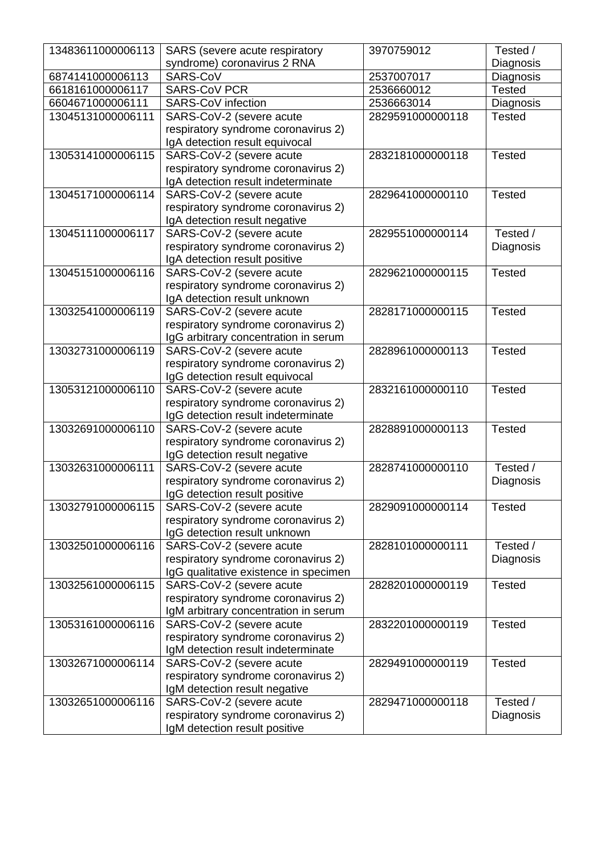| 13483611000006113 | SARS (severe acute respiratory                                  | 3970759012       | Tested /      |
|-------------------|-----------------------------------------------------------------|------------------|---------------|
|                   | syndrome) coronavirus 2 RNA                                     |                  | Diagnosis     |
| 6874141000006113  | SARS-CoV                                                        | 2537007017       | Diagnosis     |
| 6618161000006117  | <b>SARS-CoV PCR</b>                                             | 2536660012       | <b>Tested</b> |
| 6604671000006111  | <b>SARS-CoV infection</b>                                       | 2536663014       | Diagnosis     |
| 13045131000006111 | SARS-CoV-2 (severe acute                                        | 2829591000000118 | <b>Tested</b> |
|                   | respiratory syndrome coronavirus 2)                             |                  |               |
|                   | IgA detection result equivocal                                  |                  |               |
| 13053141000006115 | SARS-CoV-2 (severe acute                                        | 2832181000000118 | <b>Tested</b> |
|                   | respiratory syndrome coronavirus 2)                             |                  |               |
|                   | IgA detection result indeterminate                              |                  |               |
| 13045171000006114 | SARS-CoV-2 (severe acute                                        | 2829641000000110 | <b>Tested</b> |
|                   | respiratory syndrome coronavirus 2)                             |                  |               |
|                   | IgA detection result negative                                   |                  |               |
| 13045111000006117 | SARS-CoV-2 (severe acute                                        | 2829551000000114 | Tested /      |
|                   | respiratory syndrome coronavirus 2)                             |                  | Diagnosis     |
|                   | IgA detection result positive                                   |                  |               |
| 13045151000006116 | SARS-CoV-2 (severe acute                                        | 2829621000000115 | <b>Tested</b> |
|                   | respiratory syndrome coronavirus 2)                             |                  |               |
|                   | IgA detection result unknown                                    |                  |               |
| 13032541000006119 | SARS-CoV-2 (severe acute                                        | 2828171000000115 | <b>Tested</b> |
|                   | respiratory syndrome coronavirus 2)                             |                  |               |
|                   | IgG arbitrary concentration in serum                            |                  |               |
| 13032731000006119 | SARS-CoV-2 (severe acute                                        | 2828961000000113 | <b>Tested</b> |
|                   | respiratory syndrome coronavirus 2)                             |                  |               |
|                   | IgG detection result equivocal                                  |                  |               |
| 13053121000006110 | SARS-CoV-2 (severe acute                                        | 2832161000000110 | <b>Tested</b> |
|                   | respiratory syndrome coronavirus 2)                             |                  |               |
|                   | IgG detection result indeterminate                              |                  |               |
| 13032691000006110 | SARS-CoV-2 (severe acute                                        | 2828891000000113 | <b>Tested</b> |
|                   | respiratory syndrome coronavirus 2)                             |                  |               |
|                   | IgG detection result negative                                   |                  |               |
| 13032631000006111 | SARS-CoV-2 (severe acute                                        | 2828741000000110 | Tested /      |
|                   | respiratory syndrome coronavirus 2)                             |                  | Diagnosis     |
|                   | IgG detection result positive                                   |                  |               |
| 13032791000006115 | SARS-CoV-2 (severe acute                                        | 2829091000000114 | <b>Tested</b> |
|                   | respiratory syndrome coronavirus 2)                             |                  |               |
|                   | IgG detection result unknown                                    |                  |               |
| 13032501000006116 | SARS-CoV-2 (severe acute                                        | 2828101000000111 | Tested /      |
|                   | respiratory syndrome coronavirus 2)                             |                  | Diagnosis     |
|                   | IgG qualitative existence in specimen                           |                  |               |
| 13032561000006115 | SARS-CoV-2 (severe acute                                        | 2828201000000119 | <b>Tested</b> |
|                   | respiratory syndrome coronavirus 2)                             |                  |               |
|                   | IgM arbitrary concentration in serum                            |                  |               |
| 13053161000006116 | SARS-CoV-2 (severe acute                                        | 2832201000000119 | <b>Tested</b> |
|                   | respiratory syndrome coronavirus 2)                             |                  |               |
|                   | IgM detection result indeterminate                              |                  |               |
| 13032671000006114 | SARS-CoV-2 (severe acute<br>respiratory syndrome coronavirus 2) | 2829491000000119 | <b>Tested</b> |
|                   | IgM detection result negative                                   |                  |               |
| 13032651000006116 | SARS-CoV-2 (severe acute                                        | 2829471000000118 | Tested /      |
|                   | respiratory syndrome coronavirus 2)                             |                  | Diagnosis     |
|                   | IgM detection result positive                                   |                  |               |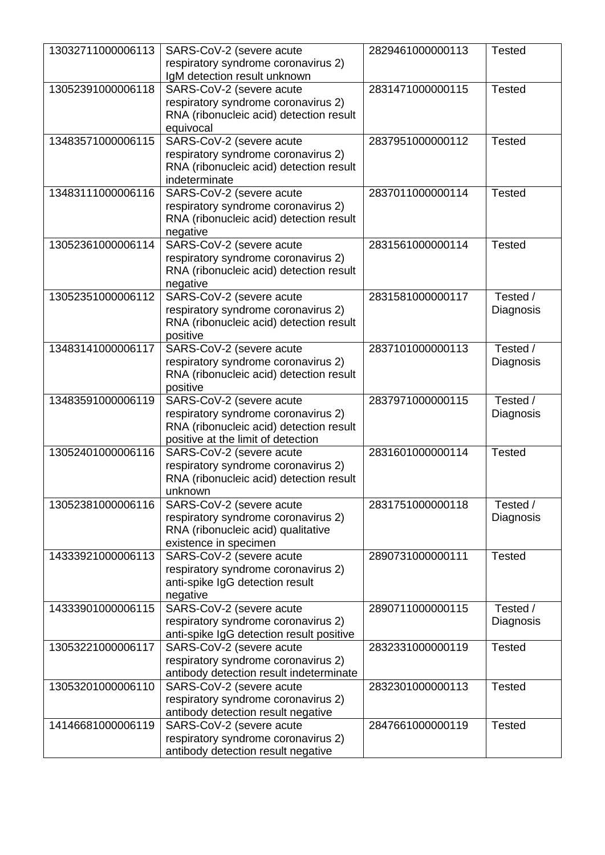| 13032711000006113 | SARS-CoV-2 (severe acute                                                       | 2829461000000113 | <b>Tested</b> |
|-------------------|--------------------------------------------------------------------------------|------------------|---------------|
|                   | respiratory syndrome coronavirus 2)                                            |                  |               |
|                   | IgM detection result unknown                                                   |                  |               |
| 13052391000006118 | SARS-CoV-2 (severe acute                                                       | 2831471000000115 | <b>Tested</b> |
|                   | respiratory syndrome coronavirus 2)<br>RNA (ribonucleic acid) detection result |                  |               |
|                   | equivocal                                                                      |                  |               |
| 13483571000006115 | SARS-CoV-2 (severe acute                                                       | 2837951000000112 | <b>Tested</b> |
|                   | respiratory syndrome coronavirus 2)                                            |                  |               |
|                   | RNA (ribonucleic acid) detection result                                        |                  |               |
|                   | indeterminate                                                                  |                  |               |
| 13483111000006116 | SARS-CoV-2 (severe acute                                                       | 2837011000000114 | <b>Tested</b> |
|                   | respiratory syndrome coronavirus 2)                                            |                  |               |
|                   | RNA (ribonucleic acid) detection result                                        |                  |               |
| 13052361000006114 | negative<br>SARS-CoV-2 (severe acute                                           | 2831561000000114 | <b>Tested</b> |
|                   | respiratory syndrome coronavirus 2)                                            |                  |               |
|                   | RNA (ribonucleic acid) detection result                                        |                  |               |
|                   | negative                                                                       |                  |               |
| 13052351000006112 | SARS-CoV-2 (severe acute                                                       | 2831581000000117 | Tested /      |
|                   | respiratory syndrome coronavirus 2)                                            |                  | Diagnosis     |
|                   | RNA (ribonucleic acid) detection result                                        |                  |               |
|                   | positive                                                                       |                  |               |
| 13483141000006117 | SARS-CoV-2 (severe acute                                                       | 2837101000000113 | Tested /      |
|                   | respiratory syndrome coronavirus 2)<br>RNA (ribonucleic acid) detection result |                  | Diagnosis     |
|                   | positive                                                                       |                  |               |
| 13483591000006119 | SARS-CoV-2 (severe acute                                                       | 2837971000000115 | Tested /      |
|                   | respiratory syndrome coronavirus 2)                                            |                  | Diagnosis     |
|                   | RNA (ribonucleic acid) detection result                                        |                  |               |
|                   | positive at the limit of detection                                             |                  |               |
| 13052401000006116 | SARS-CoV-2 (severe acute                                                       | 2831601000000114 | <b>Tested</b> |
|                   | respiratory syndrome coronavirus 2)                                            |                  |               |
|                   | RNA (ribonucleic acid) detection result<br>unknown                             |                  |               |
| 13052381000006116 | SARS-CoV-2 (severe acute                                                       | 2831751000000118 | Tested /      |
|                   | respiratory syndrome coronavirus 2)                                            |                  | Diagnosis     |
|                   | RNA (ribonucleic acid) qualitative                                             |                  |               |
|                   | existence in specimen                                                          |                  |               |
| 14333921000006113 | SARS-CoV-2 (severe acute                                                       | 2890731000000111 | <b>Tested</b> |
|                   | respiratory syndrome coronavirus 2)                                            |                  |               |
|                   | anti-spike IgG detection result                                                |                  |               |
|                   | negative                                                                       |                  | Tested /      |
| 14333901000006115 | SARS-CoV-2 (severe acute<br>respiratory syndrome coronavirus 2)                | 2890711000000115 | Diagnosis     |
|                   | anti-spike IgG detection result positive                                       |                  |               |
| 13053221000006117 | SARS-CoV-2 (severe acute                                                       | 2832331000000119 | <b>Tested</b> |
|                   | respiratory syndrome coronavirus 2)                                            |                  |               |
|                   | antibody detection result indeterminate                                        |                  |               |
| 13053201000006110 | SARS-CoV-2 (severe acute                                                       | 2832301000000113 | <b>Tested</b> |
|                   | respiratory syndrome coronavirus 2)                                            |                  |               |
|                   | antibody detection result negative                                             |                  |               |
| 14146681000006119 | SARS-CoV-2 (severe acute                                                       | 2847661000000119 | <b>Tested</b> |
|                   | respiratory syndrome coronavirus 2)<br>antibody detection result negative      |                  |               |
|                   |                                                                                |                  |               |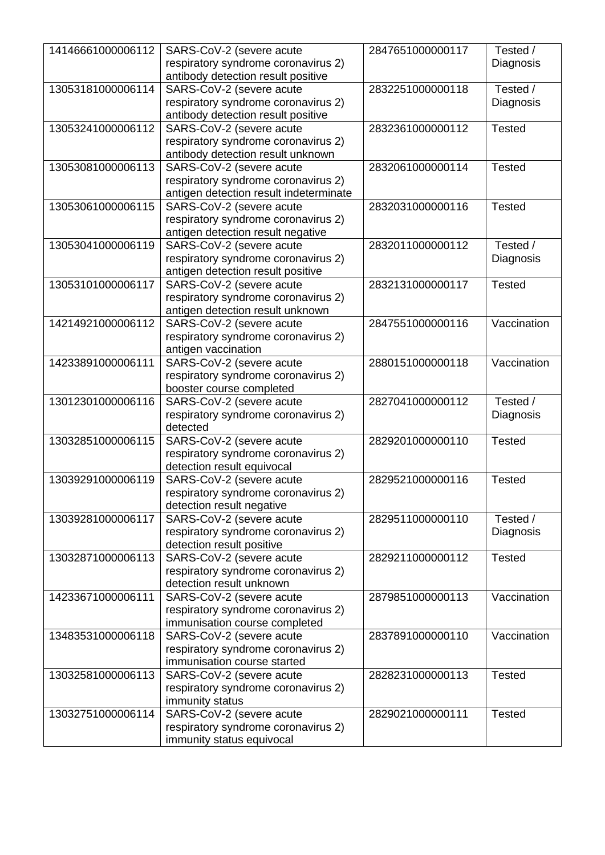| 14146661000006112 | SARS-CoV-2 (severe acute<br>respiratory syndrome coronavirus 2)<br>antibody detection result positive     | 2847651000000117 | Tested /<br>Diagnosis |
|-------------------|-----------------------------------------------------------------------------------------------------------|------------------|-----------------------|
| 13053181000006114 | SARS-CoV-2 (severe acute<br>respiratory syndrome coronavirus 2)<br>antibody detection result positive     | 2832251000000118 | Tested /<br>Diagnosis |
| 13053241000006112 | SARS-CoV-2 (severe acute<br>respiratory syndrome coronavirus 2)<br>antibody detection result unknown      | 2832361000000112 | <b>Tested</b>         |
| 13053081000006113 | SARS-CoV-2 (severe acute<br>respiratory syndrome coronavirus 2)<br>antigen detection result indeterminate | 2832061000000114 | <b>Tested</b>         |
| 13053061000006115 | SARS-CoV-2 (severe acute<br>respiratory syndrome coronavirus 2)<br>antigen detection result negative      | 2832031000000116 | <b>Tested</b>         |
| 13053041000006119 | SARS-CoV-2 (severe acute<br>respiratory syndrome coronavirus 2)<br>antigen detection result positive      | 2832011000000112 | Tested /<br>Diagnosis |
| 13053101000006117 | SARS-CoV-2 (severe acute<br>respiratory syndrome coronavirus 2)<br>antigen detection result unknown       | 2832131000000117 | <b>Tested</b>         |
| 14214921000006112 | SARS-CoV-2 (severe acute<br>respiratory syndrome coronavirus 2)<br>antigen vaccination                    | 2847551000000116 | Vaccination           |
| 14233891000006111 | SARS-CoV-2 (severe acute<br>respiratory syndrome coronavirus 2)<br>booster course completed               | 2880151000000118 | Vaccination           |
| 13012301000006116 | SARS-CoV-2 (severe acute<br>respiratory syndrome coronavirus 2)<br>detected                               | 2827041000000112 | Tested /<br>Diagnosis |
| 13032851000006115 | SARS-CoV-2 (severe acute<br>respiratory syndrome coronavirus 2)<br>detection result equivocal             | 2829201000000110 | <b>Tested</b>         |
| 13039291000006119 | SARS-CoV-2 (severe acute<br>respiratory syndrome coronavirus 2)<br>detection result negative              | 2829521000000116 | <b>Tested</b>         |
| 13039281000006117 | SARS-CoV-2 (severe acute<br>respiratory syndrome coronavirus 2)<br>detection result positive              | 2829511000000110 | Tested /<br>Diagnosis |
| 13032871000006113 | SARS-CoV-2 (severe acute<br>respiratory syndrome coronavirus 2)<br>detection result unknown               | 2829211000000112 | <b>Tested</b>         |
| 14233671000006111 | SARS-CoV-2 (severe acute<br>respiratory syndrome coronavirus 2)<br>immunisation course completed          | 2879851000000113 | Vaccination           |
| 13483531000006118 | SARS-CoV-2 (severe acute<br>respiratory syndrome coronavirus 2)<br>immunisation course started            | 2837891000000110 | Vaccination           |
| 13032581000006113 | SARS-CoV-2 (severe acute<br>respiratory syndrome coronavirus 2)<br>immunity status                        | 2828231000000113 | <b>Tested</b>         |
| 13032751000006114 | SARS-CoV-2 (severe acute<br>respiratory syndrome coronavirus 2)<br>immunity status equivocal              | 2829021000000111 | <b>Tested</b>         |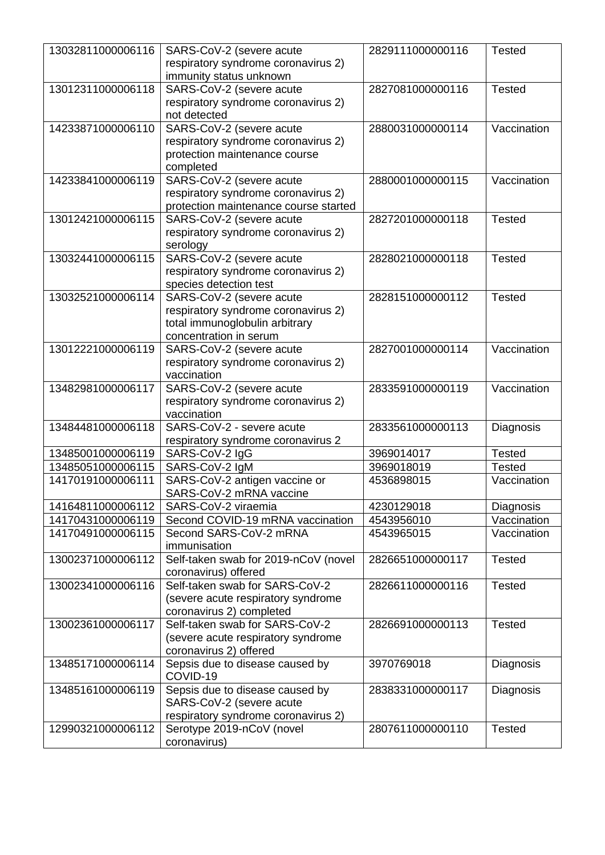| 13032811000006116 | SARS-CoV-2 (severe acute                                        | 2829111000000116 | <b>Tested</b> |
|-------------------|-----------------------------------------------------------------|------------------|---------------|
|                   | respiratory syndrome coronavirus 2)                             |                  |               |
|                   | immunity status unknown                                         |                  |               |
| 13012311000006118 | SARS-CoV-2 (severe acute                                        | 2827081000000116 | <b>Tested</b> |
|                   | respiratory syndrome coronavirus 2)                             |                  |               |
|                   | not detected                                                    |                  |               |
| 14233871000006110 | SARS-CoV-2 (severe acute                                        | 2880031000000114 | Vaccination   |
|                   | respiratory syndrome coronavirus 2)                             |                  |               |
|                   | protection maintenance course                                   |                  |               |
|                   | completed                                                       |                  |               |
| 14233841000006119 | SARS-CoV-2 (severe acute                                        | 2880001000000115 | Vaccination   |
|                   | respiratory syndrome coronavirus 2)                             |                  |               |
|                   | protection maintenance course started                           |                  |               |
| 13012421000006115 | SARS-CoV-2 (severe acute                                        | 2827201000000118 | <b>Tested</b> |
|                   | respiratory syndrome coronavirus 2)                             |                  |               |
|                   | serology                                                        |                  |               |
| 13032441000006115 | SARS-CoV-2 (severe acute                                        | 2828021000000118 | <b>Tested</b> |
|                   | respiratory syndrome coronavirus 2)                             |                  |               |
| 13032521000006114 | species detection test                                          | 2828151000000112 | <b>Tested</b> |
|                   | SARS-CoV-2 (severe acute<br>respiratory syndrome coronavirus 2) |                  |               |
|                   | total immunoglobulin arbitrary                                  |                  |               |
|                   | concentration in serum                                          |                  |               |
| 13012221000006119 | SARS-CoV-2 (severe acute                                        | 2827001000000114 | Vaccination   |
|                   | respiratory syndrome coronavirus 2)                             |                  |               |
|                   | vaccination                                                     |                  |               |
| 13482981000006117 | SARS-CoV-2 (severe acute                                        | 2833591000000119 | Vaccination   |
|                   | respiratory syndrome coronavirus 2)                             |                  |               |
|                   | vaccination                                                     |                  |               |
| 13484481000006118 | SARS-CoV-2 - severe acute                                       | 2833561000000113 | Diagnosis     |
|                   | respiratory syndrome coronavirus 2                              |                  |               |
| 13485001000006119 | SARS-CoV-2 IgG                                                  | 3969014017       | <b>Tested</b> |
| 13485051000006115 | SARS-CoV-2 IgM                                                  | 3969018019       | <b>Tested</b> |
| 14170191000006111 | SARS-CoV-2 antigen vaccine or                                   | 4536898015       | Vaccination   |
|                   | SARS-CoV-2 mRNA vaccine                                         |                  |               |
| 14164811000006112 | SARS-CoV-2 viraemia                                             | 4230129018       | Diagnosis     |
| 14170431000006119 | Second COVID-19 mRNA vaccination                                | 4543956010       | Vaccination   |
| 14170491000006115 | Second SARS-CoV-2 mRNA                                          | 4543965015       | Vaccination   |
|                   | immunisation                                                    |                  |               |
| 13002371000006112 | Self-taken swab for 2019-nCoV (novel                            | 2826651000000117 | <b>Tested</b> |
|                   | coronavirus) offered                                            |                  |               |
| 13002341000006116 | Self-taken swab for SARS-CoV-2                                  | 2826611000000116 | <b>Tested</b> |
|                   | (severe acute respiratory syndrome                              |                  |               |
|                   | coronavirus 2) completed                                        |                  |               |
| 13002361000006117 | Self-taken swab for SARS-CoV-2                                  | 2826691000000113 | <b>Tested</b> |
|                   | (severe acute respiratory syndrome                              |                  |               |
|                   | coronavirus 2) offered                                          |                  |               |
| 13485171000006114 | Sepsis due to disease caused by                                 | 3970769018       | Diagnosis     |
|                   | COVID-19                                                        |                  |               |
| 13485161000006119 | Sepsis due to disease caused by                                 | 2838331000000117 | Diagnosis     |
|                   | SARS-CoV-2 (severe acute                                        |                  |               |
|                   | respiratory syndrome coronavirus 2)                             |                  |               |
| 12990321000006112 | Serotype 2019-nCoV (novel                                       | 2807611000000110 | <b>Tested</b> |
|                   | coronavirus)                                                    |                  |               |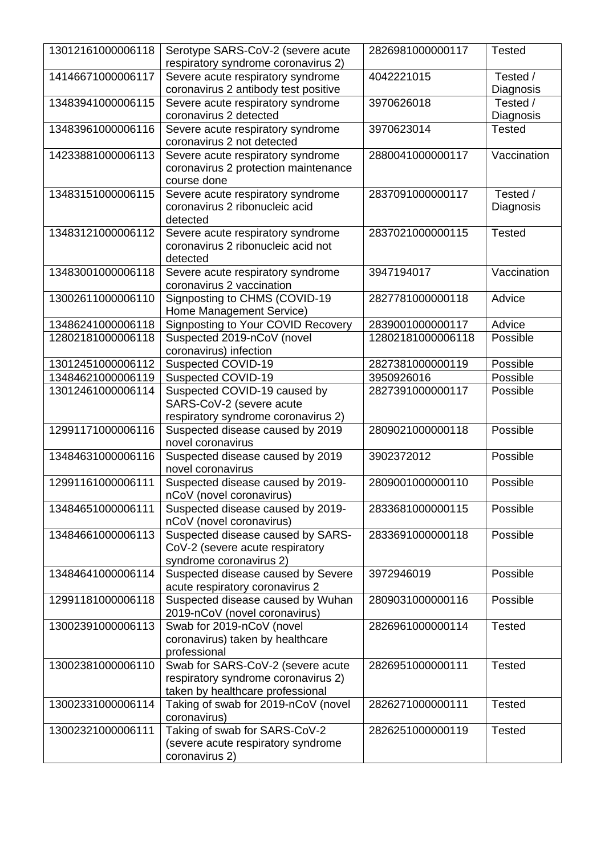| 13012161000006118 | Serotype SARS-CoV-2 (severe acute<br>respiratory syndrome coronavirus 2)                                     | 2826981000000117  | Tested                |
|-------------------|--------------------------------------------------------------------------------------------------------------|-------------------|-----------------------|
| 14146671000006117 | Severe acute respiratory syndrome<br>coronavirus 2 antibody test positive                                    | 4042221015        | Tested /<br>Diagnosis |
| 13483941000006115 | Severe acute respiratory syndrome<br>coronavirus 2 detected                                                  | 3970626018        | Tested /<br>Diagnosis |
| 13483961000006116 | Severe acute respiratory syndrome<br>coronavirus 2 not detected                                              | 3970623014        | <b>Tested</b>         |
| 14233881000006113 | Severe acute respiratory syndrome<br>coronavirus 2 protection maintenance<br>course done                     | 2880041000000117  | Vaccination           |
| 13483151000006115 | Severe acute respiratory syndrome<br>coronavirus 2 ribonucleic acid<br>detected                              | 2837091000000117  | Tested /<br>Diagnosis |
| 13483121000006112 | Severe acute respiratory syndrome<br>coronavirus 2 ribonucleic acid not<br>detected                          | 2837021000000115  | <b>Tested</b>         |
| 13483001000006118 | Severe acute respiratory syndrome<br>coronavirus 2 vaccination                                               | 3947194017        | Vaccination           |
| 13002611000006110 | Signposting to CHMS (COVID-19<br>Home Management Service)                                                    | 2827781000000118  | Advice                |
| 13486241000006118 | <b>Signposting to Your COVID Recovery</b>                                                                    | 2839001000000117  | Advice                |
| 12802181000006118 | Suspected 2019-nCoV (novel<br>coronavirus) infection                                                         | 12802181000006118 | Possible              |
| 13012451000006112 | Suspected COVID-19                                                                                           | 2827381000000119  | Possible              |
| 13484621000006119 | Suspected COVID-19                                                                                           | 3950926016        | Possible              |
| 13012461000006114 | Suspected COVID-19 caused by<br>SARS-CoV-2 (severe acute<br>respiratory syndrome coronavirus 2)              | 2827391000000117  | Possible              |
| 12991171000006116 | Suspected disease caused by 2019<br>novel coronavirus                                                        | 2809021000000118  | Possible              |
| 13484631000006116 | Suspected disease caused by 2019<br>novel coronavirus                                                        | 3902372012        | Possible              |
| 12991161000006111 | Suspected disease caused by 2019-<br>nCoV (novel coronavirus)                                                | 2809001000000110  | Possible              |
| 13484651000006111 | Suspected disease caused by 2019-<br>nCoV (novel coronavirus)                                                | 2833681000000115  | Possible              |
| 13484661000006113 | Suspected disease caused by SARS-<br>CoV-2 (severe acute respiratory<br>syndrome coronavirus 2)              | 2833691000000118  | Possible              |
| 13484641000006114 | Suspected disease caused by Severe<br>acute respiratory coronavirus 2                                        | 3972946019        | Possible              |
| 12991181000006118 | Suspected disease caused by Wuhan<br>2019-nCoV (novel coronavirus)                                           | 2809031000000116  | Possible              |
| 13002391000006113 | Swab for 2019-nCoV (novel<br>coronavirus) taken by healthcare<br>professional                                | 2826961000000114  | <b>Tested</b>         |
| 13002381000006110 | Swab for SARS-CoV-2 (severe acute<br>respiratory syndrome coronavirus 2)<br>taken by healthcare professional | 2826951000000111  | <b>Tested</b>         |
| 13002331000006114 | Taking of swab for 2019-nCoV (novel<br>coronavirus)                                                          | 2826271000000111  | <b>Tested</b>         |
| 13002321000006111 | Taking of swab for SARS-CoV-2<br>(severe acute respiratory syndrome<br>coronavirus 2)                        | 2826251000000119  | <b>Tested</b>         |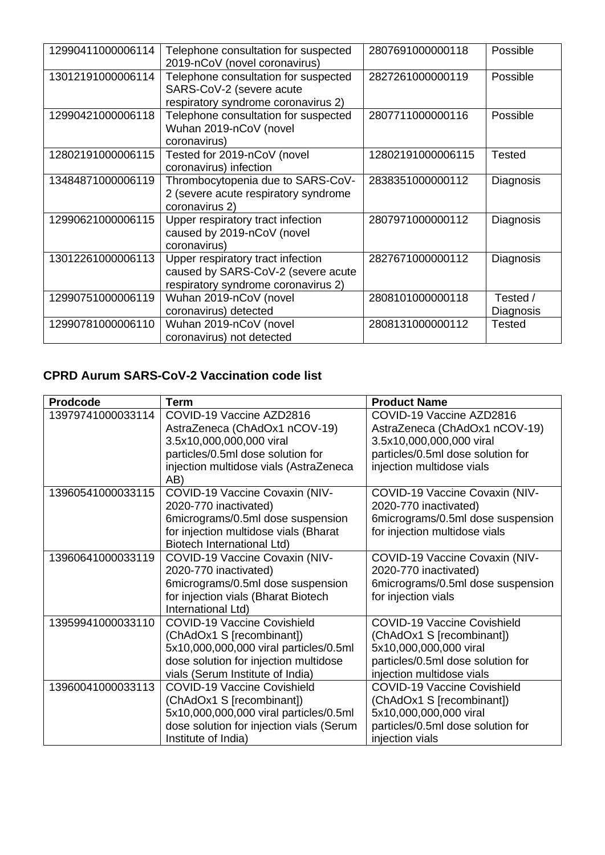| 12990411000006114 | Telephone consultation for suspected<br>2019-nCoV (novel coronavirus)                                          | 2807691000000118  | Possible              |
|-------------------|----------------------------------------------------------------------------------------------------------------|-------------------|-----------------------|
| 13012191000006114 | Telephone consultation for suspected<br>SARS-CoV-2 (severe acute<br>respiratory syndrome coronavirus 2)        | 2827261000000119  | Possible              |
| 12990421000006118 | Telephone consultation for suspected<br>Wuhan 2019-nCoV (novel<br>coronavirus)                                 | 2807711000000116  | Possible              |
| 12802191000006115 | Tested for 2019-nCoV (novel<br>coronavirus) infection                                                          | 12802191000006115 | <b>Tested</b>         |
| 13484871000006119 | Thrombocytopenia due to SARS-CoV-<br>2 (severe acute respiratory syndrome<br>coronavirus 2)                    | 2838351000000112  | Diagnosis             |
| 12990621000006115 | Upper respiratory tract infection<br>caused by 2019-nCoV (novel<br>coronavirus)                                | 2807971000000112  | Diagnosis             |
| 13012261000006113 | Upper respiratory tract infection<br>caused by SARS-CoV-2 (severe acute<br>respiratory syndrome coronavirus 2) | 2827671000000112  | Diagnosis             |
| 12990751000006119 | Wuhan 2019-nCoV (novel<br>coronavirus) detected                                                                | 2808101000000118  | Tested /<br>Diagnosis |
| 12990781000006110 | Wuhan 2019-nCoV (novel<br>coronavirus) not detected                                                            | 2808131000000112  | <b>Tested</b>         |

## **CPRD Aurum SARS-CoV-2 Vaccination code list**

| <b>Prodcode</b>   | <b>Term</b>                                   | <b>Product Name</b>                |
|-------------------|-----------------------------------------------|------------------------------------|
| 13979741000033114 | COVID-19 Vaccine AZD2816                      | COVID-19 Vaccine AZD2816           |
|                   | AstraZeneca (ChAdOx1 nCOV-19)                 | AstraZeneca (ChAdOx1 nCOV-19)      |
|                   | 3.5x10,000,000,000 viral                      | 3.5x10,000,000,000 viral           |
|                   | particles/0.5ml dose solution for             | particles/0.5ml dose solution for  |
|                   | injection multidose vials (AstraZeneca<br>AB) | injection multidose vials          |
| 13960541000033115 | COVID-19 Vaccine Covaxin (NIV-                | COVID-19 Vaccine Covaxin (NIV-     |
|                   | 2020-770 inactivated)                         | 2020-770 inactivated)              |
|                   | 6micrograms/0.5ml dose suspension             | 6micrograms/0.5ml dose suspension  |
|                   | for injection multidose vials (Bharat         | for injection multidose vials      |
|                   | Biotech International Ltd)                    |                                    |
| 13960641000033119 | COVID-19 Vaccine Covaxin (NIV-                | COVID-19 Vaccine Covaxin (NIV-     |
|                   | 2020-770 inactivated)                         | 2020-770 inactivated)              |
|                   | 6micrograms/0.5ml dose suspension             | 6micrograms/0.5ml dose suspension  |
|                   | for injection vials (Bharat Biotech           | for injection vials                |
|                   | International Ltd)                            |                                    |
| 13959941000033110 | <b>COVID-19 Vaccine Covishield</b>            | <b>COVID-19 Vaccine Covishield</b> |
|                   | (ChAdOx1 S [recombinant])                     | (ChAdOx1 S [recombinant])          |
|                   | 5x10,000,000,000 viral particles/0.5ml        | 5x10,000,000,000 viral             |
|                   | dose solution for injection multidose         | particles/0.5ml dose solution for  |
|                   | vials (Serum Institute of India)              | injection multidose vials          |
| 13960041000033113 | <b>COVID-19 Vaccine Covishield</b>            | <b>COVID-19 Vaccine Covishield</b> |
|                   | (ChAdOx1 S [recombinant])                     | (ChAdOx1 S [recombinant])          |
|                   | 5x10,000,000,000 viral particles/0.5ml        | 5x10,000,000,000 viral             |
|                   | dose solution for injection vials (Serum      | particles/0.5ml dose solution for  |
|                   | Institute of India)                           | injection vials                    |